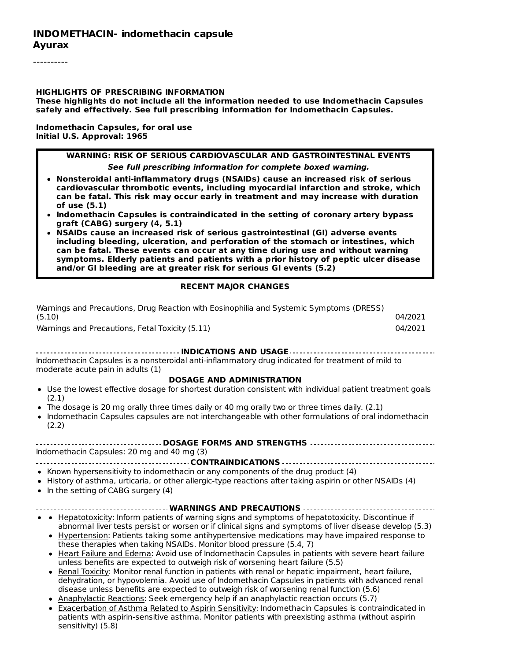#### **INDOMETHACIN- indomethacin capsule Ayurax**

----------

#### **HIGHLIGHTS OF PRESCRIBING INFORMATION**

**These highlights do not include all the information needed to use Indomethacin Capsules safely and effectively. See full prescribing information for Indomethacin Capsules.**

**Indomethacin Capsules, for oral use Initial U.S. Approval: 1965**

### **WARNING: RISK OF SERIOUS CARDIOVASCULAR AND GASTROINTESTINAL EVENTS**

**See full prescribing information for complete boxed warning.**

- **Nonsteroidal anti-inflammatory drugs (NSAIDs) cause an increased risk of serious cardiovascular thrombotic events, including myocardial infarction and stroke, which can be fatal. This risk may occur early in treatment and may increase with duration of use (5.1)**
- **Indomethacin Capsules is contraindicated in the setting of coronary artery bypass graft (CABG) surgery (4, 5.1)**
- **NSAIDs cause an increased risk of serious gastrointestinal (GI) adverse events including bleeding, ulceration, and perforation of the stomach or intestines, which can be fatal. These events can occur at any time during use and without warning symptoms. Elderly patients and patients with a prior history of peptic ulcer disease and/or GI bleeding are at greater risk for serious GI events (5.2)**

**RECENT MAJOR CHANGES**

| Warnings and Precautions, Drug Reaction with Eosinophilia and Systemic Symptoms (DRESS) |         |
|-----------------------------------------------------------------------------------------|---------|
| (5.10)                                                                                  | 04/2021 |
| Warnings and Precautions, Fetal Toxicity (5.11)                                         | 04/2021 |

**INDICATIONS AND USAGE** Indomethacin Capsules is a nonsteroidal anti-inflammatory drug indicated for treatment of mild to moderate acute pain in adults (1)

#### **DOSAGE AND ADMINISTRATION**

- Use the lowest effective dosage for shortest duration consistent with individual patient treatment goals (2.1)
- $\bullet$  The dosage is 20 mg orally three times daily or 40 mg orally two or three times daily. (2.1)
- Indomethacin Capsules capsules are not interchangeable with other formulations of oral indomethacin (2.2)

### **DOSAGE FORMS AND STRENGTHS**

Indomethacin Capsules: 20 mg and 40 mg (3)

**CONTRAINDICATIONS**

- $\bullet$  Known hypersensitivity to indomethacin or any components of the drug product (4)
- History of asthma, urticaria, or other allergic-type reactions after taking aspirin or other NSAIDs (4)
- $\bullet$  In the setting of CABG surgery (4)

#### **WARNINGS AND PRECAUTIONS**

- Hepatotoxicity: Inform patients of warning signs and symptoms of hepatotoxicity. Discontinue if
	- abnormal liver tests persist or worsen or if clinical signs and symptoms of liver disease develop (5.3) • Hypertension: Patients taking some antihypertensive medications may have impaired response to these therapies when taking NSAIDs. Monitor blood pressure (5.4, 7)
	- Heart Failure and Edema: Avoid use of Indomethacin Capsules in patients with severe heart failure unless benefits are expected to outweigh risk of worsening heart failure (5.5)
	- Renal Toxicity: Monitor renal function in patients with renal or hepatic impairment, heart failure, dehydration, or hypovolemia. Avoid use of Indomethacin Capsules in patients with advanced renal disease unless benefits are expected to outweigh risk of worsening renal function (5.6)
	- Anaphylactic Reactions: Seek emergency help if an anaphylactic reaction occurs (5.7)
	- Exacerbation of Asthma Related to Aspirin Sensitivity: Indomethacin Capsules is contraindicated in patients with aspirin-sensitive asthma. Monitor patients with preexisting asthma (without aspirin sensitivity) (5.8)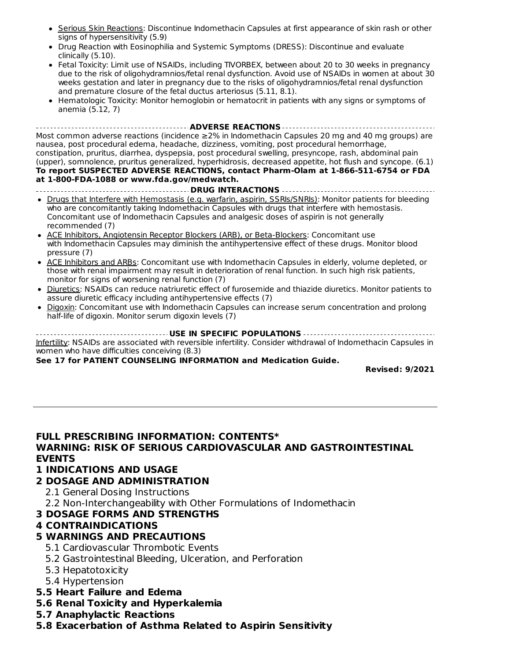- Serious Skin Reactions: Discontinue Indomethacin Capsules at first appearance of skin rash or other signs of hypersensitivity (5.9)
- Drug Reaction with Eosinophilia and Systemic Symptoms (DRESS): Discontinue and evaluate clinically (5.10).
- Fetal Toxicity: Limit use of NSAIDs, including TIVORBEX, between about 20 to 30 weeks in pregnancy due to the risk of oligohydramnios/fetal renal dysfunction. Avoid use of NSAIDs in women at about 30 weeks gestation and later in pregnancy due to the risks of oligohydramnios/fetal renal dysfunction and premature closure of the fetal ductus arteriosus (5.11, 8.1).
- Hematologic Toxicity: Monitor hemoglobin or hematocrit in patients with any signs or symptoms of anemia (5.12, 7)

**ADVERSE REACTIONS** Most common adverse reactions (incidence ≥2% in Indomethacin Capsules 20 mg and 40 mg groups) are nausea, post procedural edema, headache, dizziness, vomiting, post procedural hemorrhage, constipation, pruritus, diarrhea, dyspepsia, post procedural swelling, presyncope, rash, abdominal pain (upper), somnolence, pruritus generalized, hyperhidrosis, decreased appetite, hot flush and syncope. (6.1) **To report SUSPECTED ADVERSE REACTIONS, contact Pharm-Olam at 1-866-511-6754 or FDA at 1-800-FDA-1088 or www.fda.gov/medwatch.**

- **DRUG INTERACTIONS**
- . Drugs that Interfere with Hemostasis (e.g. warfarin, aspirin, SSRIs/SNRIs): Monitor patients for bleeding who are concomitantly taking Indomethacin Capsules with drugs that interfere with hemostasis. Concomitant use of Indomethacin Capsules and analgesic doses of aspirin is not generally recommended (7)
- ACE Inhibitors, Angiotensin Receptor Blockers (ARB), or Beta-Blockers: Concomitant use with Indomethacin Capsules may diminish the antihypertensive effect of these drugs. Monitor blood pressure (7)
- ACE Inhibitors and ARBs: Concomitant use with Indomethacin Capsules in elderly, volume depleted, or those with renal impairment may result in deterioration of renal function. In such high risk patients, monitor for signs of worsening renal function (7)
- Diuretics: NSAIDs can reduce natriuretic effect of furosemide and thiazide diuretics. Monitor patients to assure diuretic efficacy including antihypertensive effects (7)
- . Digoxin: Concomitant use with Indomethacin Capsules can increase serum concentration and prolong half-life of digoxin. Monitor serum digoxin levels (7)

**USE IN SPECIFIC POPULATIONS** Infertility: NSAIDs are associated with reversible infertility. Consider withdrawal of Indomethacin Capsules in women who have difficulties conceiving (8.3)

**See 17 for PATIENT COUNSELING INFORMATION and Medication Guide.**

**Revised: 9/2021**

### **FULL PRESCRIBING INFORMATION: CONTENTS\***

### **WARNING: RISK OF SERIOUS CARDIOVASCULAR AND GASTROINTESTINAL EVENTS**

### **1 INDICATIONS AND USAGE**

### **2 DOSAGE AND ADMINISTRATION**

2.1 General Dosing Instructions

2.2 Non-Interchangeability with Other Formulations of Indomethacin

### **3 DOSAGE FORMS AND STRENGTHS**

### **4 CONTRAINDICATIONS**

### **5 WARNINGS AND PRECAUTIONS**

- 5.1 Cardiovascular Thrombotic Events
- 5.2 Gastrointestinal Bleeding, Ulceration, and Perforation
- 5.3 Hepatotoxicity
- 5.4 Hypertension
- **5.5 Heart Failure and Edema**
- **5.6 Renal Toxicity and Hyperkalemia**
- **5.7 Anaphylactic Reactions**
- **5.8 Exacerbation of Asthma Related to Aspirin Sensitivity**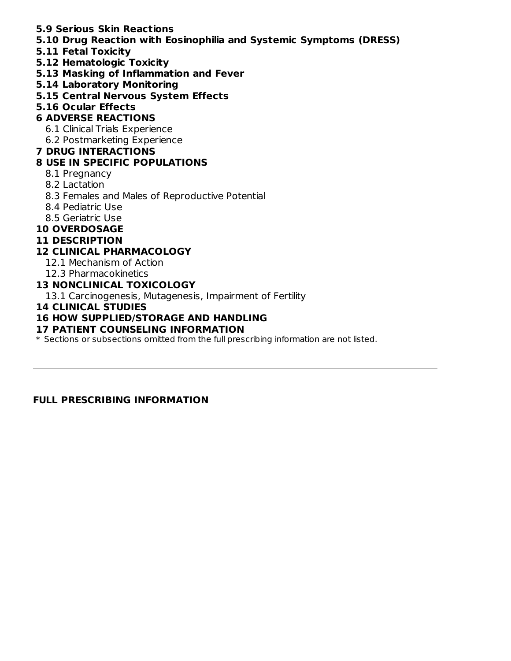### **5.9 Serious Skin Reactions**

- **5.10 Drug Reaction with Eosinophilia and Systemic Symptoms (DRESS)**
- **5.11 Fetal Toxicity**
- **5.12 Hematologic Toxicity**
- **5.13 Masking of Inflammation and Fever**
- **5.14 Laboratory Monitoring**
- **5.15 Central Nervous System Effects**
- **5.16 Ocular Effects**

## **6 ADVERSE REACTIONS**

- 6.1 Clinical Trials Experience
- 6.2 Postmarketing Experience

### **7 DRUG INTERACTIONS**

## **8 USE IN SPECIFIC POPULATIONS**

- 8.1 Pregnancy
- 8.2 Lactation
- 8.3 Females and Males of Reproductive Potential
- 8.4 Pediatric Use
- 8.5 Geriatric Use

### **10 OVERDOSAGE**

### **11 DESCRIPTION**

### **12 CLINICAL PHARMACOLOGY**

- 12.1 Mechanism of Action
- 12.3 Pharmacokinetics

### **13 NONCLINICAL TOXICOLOGY**

13.1 Carcinogenesis, Mutagenesis, Impairment of Fertility

### **14 CLINICAL STUDIES**

### **16 HOW SUPPLIED/STORAGE AND HANDLING**

### **17 PATIENT COUNSELING INFORMATION**

\* Sections or subsections omitted from the full prescribing information are not listed.

### **FULL PRESCRIBING INFORMATION**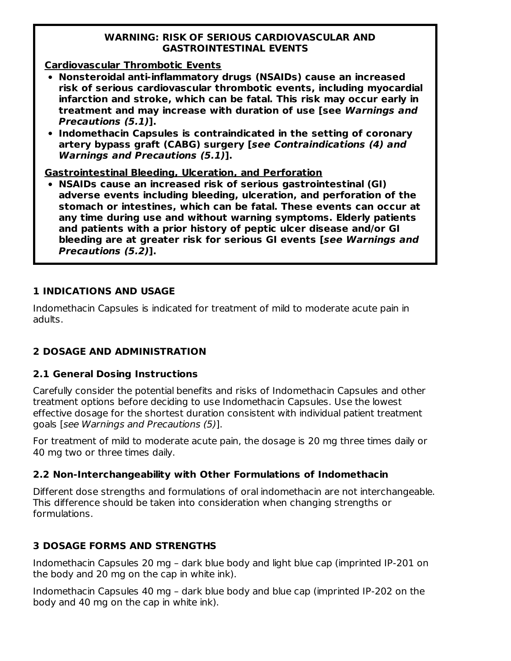### **WARNING: RISK OF SERIOUS CARDIOVASCULAR AND GASTROINTESTINAL EVENTS**

**Cardiovascular Thrombotic Events**

- **Nonsteroidal anti-inflammatory drugs (NSAIDs) cause an increased risk of serious cardiovascular thrombotic events, including myocardial infarction and stroke, which can be fatal. This risk may occur early in treatment and may increase with duration of use [see Warnings and Precautions (5.1)].**
- **Indomethacin Capsules is contraindicated in the setting of coronary artery bypass graft (CABG) surgery [see Contraindications (4) and Warnings and Precautions (5.1)].**

**Gastrointestinal Bleeding, Ulceration, and Perforation**

**NSAIDs cause an increased risk of serious gastrointestinal (GI) adverse events including bleeding, ulceration, and perforation of the stomach or intestines, which can be fatal. These events can occur at any time during use and without warning symptoms. Elderly patients and patients with a prior history of peptic ulcer disease and/or GI bleeding are at greater risk for serious GI events [see Warnings and Precautions (5.2)].**

## **1 INDICATIONS AND USAGE**

Indomethacin Capsules is indicated for treatment of mild to moderate acute pain in adults.

## **2 DOSAGE AND ADMINISTRATION**

## **2.1 General Dosing Instructions**

Carefully consider the potential benefits and risks of Indomethacin Capsules and other treatment options before deciding to use Indomethacin Capsules. Use the lowest effective dosage for the shortest duration consistent with individual patient treatment goals [see Warnings and Precautions (5)].

For treatment of mild to moderate acute pain, the dosage is 20 mg three times daily or 40 mg two or three times daily.

## **2.2 Non-Interchangeability with Other Formulations of Indomethacin**

Different dose strengths and formulations of oral indomethacin are not interchangeable. This difference should be taken into consideration when changing strengths or formulations.

## **3 DOSAGE FORMS AND STRENGTHS**

Indomethacin Capsules 20 mg – dark blue body and light blue cap (imprinted IP-201 on the body and 20 mg on the cap in white ink).

Indomethacin Capsules 40 mg – dark blue body and blue cap (imprinted IP-202 on the body and 40 mg on the cap in white ink).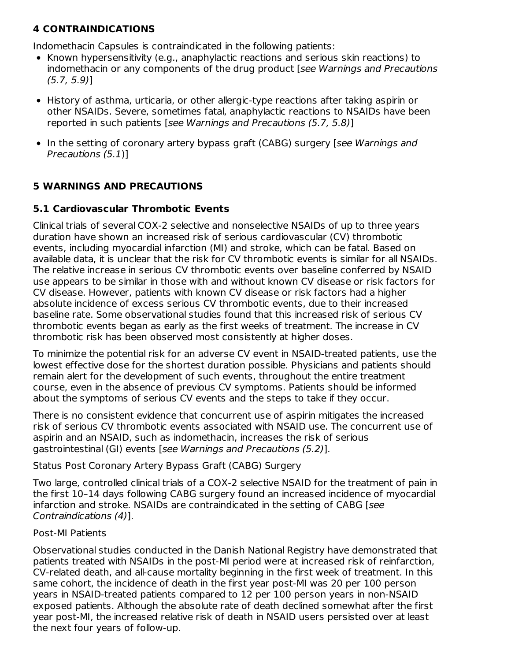## **4 CONTRAINDICATIONS**

Indomethacin Capsules is contraindicated in the following patients:

- Known hypersensitivity (e.g., anaphylactic reactions and serious skin reactions) to indomethacin or any components of the drug product [see Warnings and Precautions (5.7, 5.9)]
- History of asthma, urticaria, or other allergic-type reactions after taking aspirin or other NSAIDs. Severe, sometimes fatal, anaphylactic reactions to NSAIDs have been reported in such patients [see Warnings and Precautions (5.7, 5.8)]
- In the setting of coronary artery bypass graft (CABG) surgery [see Warnings and Precautions (5.1)]

## **5 WARNINGS AND PRECAUTIONS**

### **5.1 Cardiovascular Thrombotic Events**

Clinical trials of several COX-2 selective and nonselective NSAIDs of up to three years duration have shown an increased risk of serious cardiovascular (CV) thrombotic events, including myocardial infarction (MI) and stroke, which can be fatal. Based on available data, it is unclear that the risk for CV thrombotic events is similar for all NSAIDs. The relative increase in serious CV thrombotic events over baseline conferred by NSAID use appears to be similar in those with and without known CV disease or risk factors for CV disease. However, patients with known CV disease or risk factors had a higher absolute incidence of excess serious CV thrombotic events, due to their increased baseline rate. Some observational studies found that this increased risk of serious CV thrombotic events began as early as the first weeks of treatment. The increase in CV thrombotic risk has been observed most consistently at higher doses.

To minimize the potential risk for an adverse CV event in NSAID-treated patients, use the lowest effective dose for the shortest duration possible. Physicians and patients should remain alert for the development of such events, throughout the entire treatment course, even in the absence of previous CV symptoms. Patients should be informed about the symptoms of serious CV events and the steps to take if they occur.

There is no consistent evidence that concurrent use of aspirin mitigates the increased risk of serious CV thrombotic events associated with NSAID use. The concurrent use of aspirin and an NSAID, such as indomethacin, increases the risk of serious gastrointestinal (GI) events [see Warnings and Precautions (5.2)].

### Status Post Coronary Artery Bypass Graft (CABG) Surgery

Two large, controlled clinical trials of a COX-2 selective NSAID for the treatment of pain in the first 10–14 days following CABG surgery found an increased incidence of myocardial infarction and stroke. NSAIDs are contraindicated in the setting of CABG [see Contraindications (4)].

### Post-MI Patients

Observational studies conducted in the Danish National Registry have demonstrated that patients treated with NSAIDs in the post-MI period were at increased risk of reinfarction, CV-related death, and all-cause mortality beginning in the first week of treatment. In this same cohort, the incidence of death in the first year post-MI was 20 per 100 person years in NSAID-treated patients compared to 12 per 100 person years in non-NSAID exposed patients. Although the absolute rate of death declined somewhat after the first year post-MI, the increased relative risk of death in NSAID users persisted over at least the next four years of follow-up.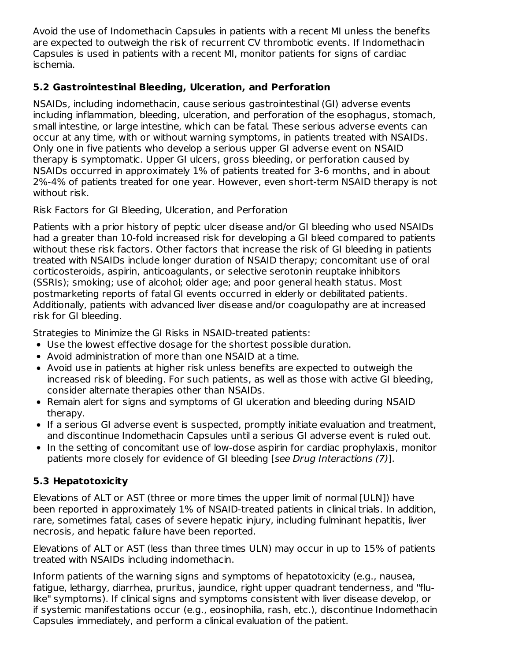Avoid the use of Indomethacin Capsules in patients with a recent MI unless the benefits are expected to outweigh the risk of recurrent CV thrombotic events. If Indomethacin Capsules is used in patients with a recent MI, monitor patients for signs of cardiac ischemia.

## **5.2 Gastrointestinal Bleeding, Ulceration, and Perforation**

NSAIDs, including indomethacin, cause serious gastrointestinal (GI) adverse events including inflammation, bleeding, ulceration, and perforation of the esophagus, stomach, small intestine, or large intestine, which can be fatal. These serious adverse events can occur at any time, with or without warning symptoms, in patients treated with NSAIDs. Only one in five patients who develop a serious upper GI adverse event on NSAID therapy is symptomatic. Upper GI ulcers, gross bleeding, or perforation caused by NSAIDs occurred in approximately 1% of patients treated for 3-6 months, and in about 2%-4% of patients treated for one year. However, even short-term NSAID therapy is not without risk.

Risk Factors for GI Bleeding, Ulceration, and Perforation

Patients with a prior history of peptic ulcer disease and/or GI bleeding who used NSAIDs had a greater than 10-fold increased risk for developing a GI bleed compared to patients without these risk factors. Other factors that increase the risk of GI bleeding in patients treated with NSAIDs include longer duration of NSAID therapy; concomitant use of oral corticosteroids, aspirin, anticoagulants, or selective serotonin reuptake inhibitors (SSRIs); smoking; use of alcohol; older age; and poor general health status. Most postmarketing reports of fatal GI events occurred in elderly or debilitated patients. Additionally, patients with advanced liver disease and/or coagulopathy are at increased risk for GI bleeding.

Strategies to Minimize the GI Risks in NSAID-treated patients:

- Use the lowest effective dosage for the shortest possible duration.
- Avoid administration of more than one NSAID at a time.
- Avoid use in patients at higher risk unless benefits are expected to outweigh the increased risk of bleeding. For such patients, as well as those with active GI bleeding, consider alternate therapies other than NSAIDs.
- Remain alert for signs and symptoms of GI ulceration and bleeding during NSAID therapy.
- If a serious GI adverse event is suspected, promptly initiate evaluation and treatment, and discontinue Indomethacin Capsules until a serious GI adverse event is ruled out.
- In the setting of concomitant use of low-dose aspirin for cardiac prophylaxis, monitor patients more closely for evidence of GI bleeding [see Drug Interactions (7)].

## **5.3 Hepatotoxicity**

Elevations of ALT or AST (three or more times the upper limit of normal [ULN]) have been reported in approximately 1% of NSAID-treated patients in clinical trials. In addition, rare, sometimes fatal, cases of severe hepatic injury, including fulminant hepatitis, liver necrosis, and hepatic failure have been reported.

Elevations of ALT or AST (less than three times ULN) may occur in up to 15% of patients treated with NSAIDs including indomethacin.

Inform patients of the warning signs and symptoms of hepatotoxicity (e.g., nausea, fatigue, lethargy, diarrhea, pruritus, jaundice, right upper quadrant tenderness, and "flulike" symptoms). If clinical signs and symptoms consistent with liver disease develop, or if systemic manifestations occur (e.g., eosinophilia, rash, etc.), discontinue Indomethacin Capsules immediately, and perform a clinical evaluation of the patient.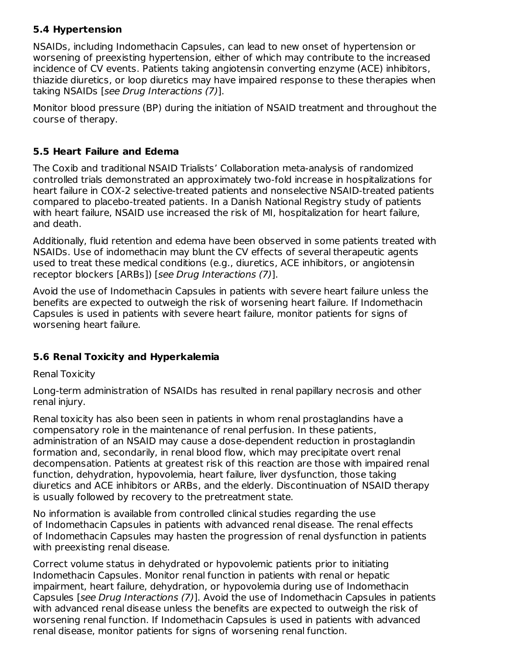## **5.4 Hypertension**

NSAIDs, including Indomethacin Capsules, can lead to new onset of hypertension or worsening of preexisting hypertension, either of which may contribute to the increased incidence of CV events. Patients taking angiotensin converting enzyme (ACE) inhibitors, thiazide diuretics, or loop diuretics may have impaired response to these therapies when taking NSAIDs [see Drug Interactions (7)].

Monitor blood pressure (BP) during the initiation of NSAID treatment and throughout the course of therapy.

## **5.5 Heart Failure and Edema**

The Coxib and traditional NSAID Trialists' Collaboration meta-analysis of randomized controlled trials demonstrated an approximately two-fold increase in hospitalizations for heart failure in COX-2 selective-treated patients and nonselective NSAID-treated patients compared to placebo-treated patients. In a Danish National Registry study of patients with heart failure, NSAID use increased the risk of MI, hospitalization for heart failure, and death.

Additionally, fluid retention and edema have been observed in some patients treated with NSAIDs. Use of indomethacin may blunt the CV effects of several therapeutic agents used to treat these medical conditions (e.g., diuretics, ACE inhibitors, or angiotensin receptor blockers [ARBs]) [see Drug Interactions (7)].

Avoid the use of Indomethacin Capsules in patients with severe heart failure unless the benefits are expected to outweigh the risk of worsening heart failure. If Indomethacin Capsules is used in patients with severe heart failure, monitor patients for signs of worsening heart failure.

## **5.6 Renal Toxicity and Hyperkalemia**

### Renal Toxicity

Long-term administration of NSAIDs has resulted in renal papillary necrosis and other renal injury.

Renal toxicity has also been seen in patients in whom renal prostaglandins have a compensatory role in the maintenance of renal perfusion. In these patients, administration of an NSAID may cause a dose-dependent reduction in prostaglandin formation and, secondarily, in renal blood flow, which may precipitate overt renal decompensation. Patients at greatest risk of this reaction are those with impaired renal function, dehydration, hypovolemia, heart failure, liver dysfunction, those taking diuretics and ACE inhibitors or ARBs, and the elderly. Discontinuation of NSAID therapy is usually followed by recovery to the pretreatment state.

No information is available from controlled clinical studies regarding the use of Indomethacin Capsules in patients with advanced renal disease. The renal effects of Indomethacin Capsules may hasten the progression of renal dysfunction in patients with preexisting renal disease.

Correct volume status in dehydrated or hypovolemic patients prior to initiating Indomethacin Capsules. Monitor renal function in patients with renal or hepatic impairment, heart failure, dehydration, or hypovolemia during use of Indomethacin Capsules [see Drug Interactions (7)]. Avoid the use of Indomethacin Capsules in patients with advanced renal disease unless the benefits are expected to outweigh the risk of worsening renal function. If Indomethacin Capsules is used in patients with advanced renal disease, monitor patients for signs of worsening renal function.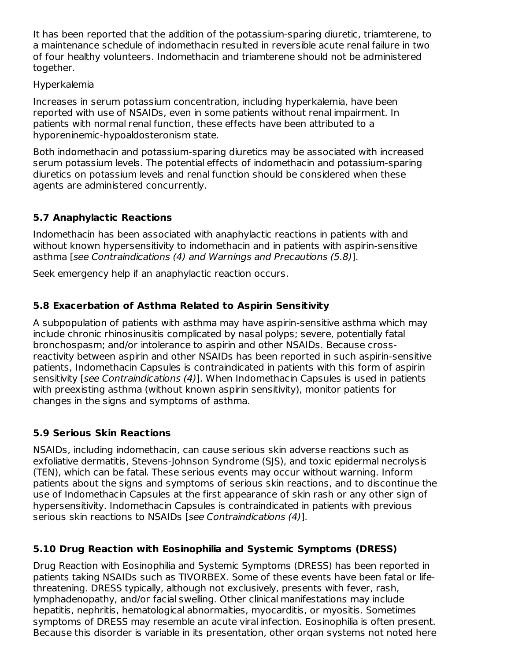It has been reported that the addition of the potassium-sparing diuretic, triamterene, to a maintenance schedule of indomethacin resulted in reversible acute renal failure in two of four healthy volunteers. Indomethacin and triamterene should not be administered together.

### Hyperkalemia

Increases in serum potassium concentration, including hyperkalemia, have been reported with use of NSAIDs, even in some patients without renal impairment. In patients with normal renal function, these effects have been attributed to a hyporeninemic-hypoaldosteronism state.

Both indomethacin and potassium-sparing diuretics may be associated with increased serum potassium levels. The potential effects of indomethacin and potassium-sparing diuretics on potassium levels and renal function should be considered when these agents are administered concurrently.

## **5.7 Anaphylactic Reactions**

Indomethacin has been associated with anaphylactic reactions in patients with and without known hypersensitivity to indomethacin and in patients with aspirin-sensitive asthma [see Contraindications (4) and Warnings and Precautions (5.8)].

Seek emergency help if an anaphylactic reaction occurs.

## **5.8 Exacerbation of Asthma Related to Aspirin Sensitivity**

A subpopulation of patients with asthma may have aspirin-sensitive asthma which may include chronic rhinosinusitis complicated by nasal polyps; severe, potentially fatal bronchospasm; and/or intolerance to aspirin and other NSAIDs. Because crossreactivity between aspirin and other NSAIDs has been reported in such aspirin-sensitive patients, Indomethacin Capsules is contraindicated in patients with this form of aspirin sensitivity [see Contraindications (4)]. When Indomethacin Capsules is used in patients with preexisting asthma (without known aspirin sensitivity), monitor patients for changes in the signs and symptoms of asthma.

## **5.9 Serious Skin Reactions**

NSAIDs, including indomethacin, can cause serious skin adverse reactions such as exfoliative dermatitis, Stevens-Johnson Syndrome (SJS), and toxic epidermal necrolysis (TEN), which can be fatal. These serious events may occur without warning. Inform patients about the signs and symptoms of serious skin reactions, and to discontinue the use of Indomethacin Capsules at the first appearance of skin rash or any other sign of hypersensitivity. Indomethacin Capsules is contraindicated in patients with previous serious skin reactions to NSAIDs [see Contraindications (4)].

## **5.10 Drug Reaction with Eosinophilia and Systemic Symptoms (DRESS)**

Drug Reaction with Eosinophilia and Systemic Symptoms (DRESS) has been reported in patients taking NSAIDs such as TIVORBEX. Some of these events have been fatal or lifethreatening. DRESS typically, although not exclusively, presents with fever, rash, lymphadenopathy, and/or facial swelling. Other clinical manifestations may include hepatitis, nephritis, hematological abnormalties, myocarditis, or myositis. Sometimes symptoms of DRESS may resemble an acute viral infection. Eosinophilia is often present. Because this disorder is variable in its presentation, other organ systems not noted here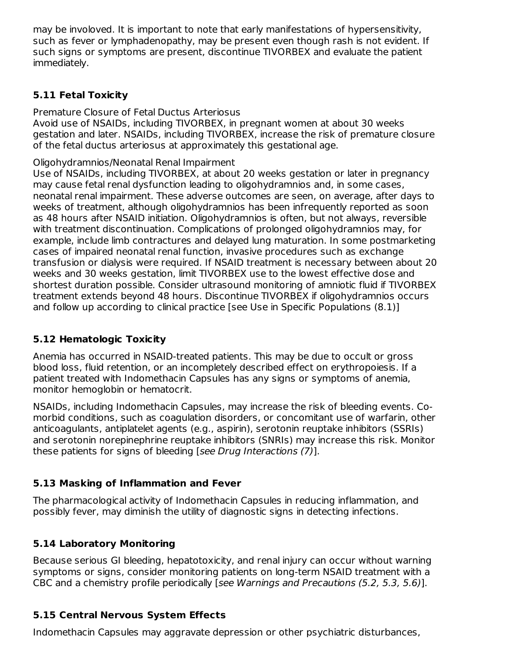may be involoved. It is important to note that early manifestations of hypersensitivity, such as fever or lymphadenopathy, may be present even though rash is not evident. If such signs or symptoms are present, discontinue TIVORBEX and evaluate the patient immediately.

## **5.11 Fetal Toxicity**

Premature Closure of Fetal Ductus Arteriosus Avoid use of NSAIDs, including TIVORBEX, in pregnant women at about 30 weeks gestation and later. NSAIDs, including TIVORBEX, increase the risk of premature closure of the fetal ductus arteriosus at approximately this gestational age.

Oligohydramnios/Neonatal Renal Impairment

Use of NSAIDs, including TIVORBEX, at about 20 weeks gestation or later in pregnancy may cause fetal renal dysfunction leading to oligohydramnios and, in some cases, neonatal renal impairment. These adverse outcomes are seen, on average, after days to weeks of treatment, although oligohydramnios has been infrequently reported as soon as 48 hours after NSAID initiation. Oligohydramnios is often, but not always, reversible with treatment discontinuation. Complications of prolonged oligohydramnios may, for example, include limb contractures and delayed lung maturation. In some postmarketing cases of impaired neonatal renal function, invasive procedures such as exchange transfusion or dialysis were required. If NSAID treatment is necessary between about 20 weeks and 30 weeks gestation, limit TIVORBEX use to the lowest effective dose and shortest duration possible. Consider ultrasound monitoring of amniotic fluid if TIVORBEX treatment extends beyond 48 hours. Discontinue TIVORBEX if oligohydramnios occurs and follow up according to clinical practice [see Use in Specific Populations (8.1)]

## **5.12 Hematologic Toxicity**

Anemia has occurred in NSAID-treated patients. This may be due to occult or gross blood loss, fluid retention, or an incompletely described effect on erythropoiesis. If a patient treated with Indomethacin Capsules has any signs or symptoms of anemia, monitor hemoglobin or hematocrit.

NSAIDs, including Indomethacin Capsules, may increase the risk of bleeding events. Comorbid conditions, such as coagulation disorders, or concomitant use of warfarin, other anticoagulants, antiplatelet agents (e.g., aspirin), serotonin reuptake inhibitors (SSRIs) and serotonin norepinephrine reuptake inhibitors (SNRIs) may increase this risk. Monitor these patients for signs of bleeding [see Drug Interactions (7)].

## **5.13 Masking of Inflammation and Fever**

The pharmacological activity of Indomethacin Capsules in reducing inflammation, and possibly fever, may diminish the utility of diagnostic signs in detecting infections.

### **5.14 Laboratory Monitoring**

Because serious GI bleeding, hepatotoxicity, and renal injury can occur without warning symptoms or signs, consider monitoring patients on long-term NSAID treatment with a CBC and a chemistry profile periodically [see Warnings and Precautions (5.2, 5.3, 5.6)].

## **5.15 Central Nervous System Effects**

Indomethacin Capsules may aggravate depression or other psychiatric disturbances,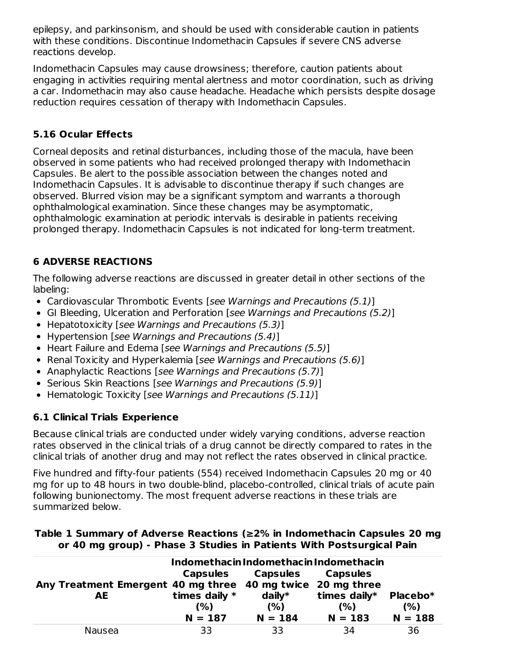epilepsy, and parkinsonism, and should be used with considerable caution in patients with these conditions. Discontinue Indomethacin Capsules if severe CNS adverse reactions develop.

Indomethacin Capsules may cause drowsiness; therefore, caution patients about engaging in activities requiring mental alertness and motor coordination, such as driving a car. Indomethacin may also cause headache. Headache which persists despite dosage reduction requires cessation of therapy with Indomethacin Capsules.

## **5.16 Ocular Effects**

Corneal deposits and retinal disturbances, including those of the macula, have been observed in some patients who had received prolonged therapy with Indomethacin Capsules. Be alert to the possible association between the changes noted and Indomethacin Capsules. It is advisable to discontinue therapy if such changes are observed. Blurred vision may be a significant symptom and warrants a thorough ophthalmological examination. Since these changes may be asymptomatic, ophthalmologic examination at periodic intervals is desirable in patients receiving prolonged therapy. Indomethacin Capsules is not indicated for long-term treatment.

## **6 ADVERSE REACTIONS**

The following adverse reactions are discussed in greater detail in other sections of the labeling:

- Cardiovascular Thrombotic Events [see Warnings and Precautions (5.1)]
- GI Bleeding, Ulceration and Perforation [see Warnings and Precautions (5.2)]
- Hepatotoxicity [see Warnings and Precautions (5.3)]
- Hypertension [see Warnings and Precautions (5.4)]
- Heart Failure and Edema [see Warnings and Precautions (5.5)]
- Renal Toxicity and Hyperkalemia [see Warnings and Precautions  $(5.6)$ ]
- Anaphylactic Reactions [see Warnings and Precautions (5.7)]
- Serious Skin Reactions [see Warnings and Precautions (5.9)]
- Hematologic Toxicity [see Warnings and Precautions (5.11)]

## **6.1 Clinical Trials Experience**

Because clinical trials are conducted under widely varying conditions, adverse reaction rates observed in the clinical trials of a drug cannot be directly compared to rates in the clinical trials of another drug and may not reflect the rates observed in clinical practice.

Five hundred and fifty-four patients (554) received Indomethacin Capsules 20 mg or 40 mg for up to 48 hours in two double-blind, placebo-controlled, clinical trials of acute pain following bunionectomy. The most frequent adverse reactions in these trials are summarized below.

### **Table 1 Summary of Adverse Reactions (≥2% in Indomethacin Capsules 20 mg or 40 mg group) - Phase 3 Studies in Patients With Postsurgical Pain**

|                                                            |                 |                 | Indomethacin Indomethacin Indomethacin |           |
|------------------------------------------------------------|-----------------|-----------------|----------------------------------------|-----------|
|                                                            | <b>Capsules</b> | <b>Capsules</b> | <b>Capsules</b>                        |           |
| Any Treatment Emergent 40 mg three 40 mg twice 20 mg three |                 |                 |                                        |           |
| <b>AE</b>                                                  | times daily $*$ | $d$ aily $*$    | times daily*                           | Placebo*  |
|                                                            | (%)             | (% )            | (% )                                   | (% )      |
|                                                            | $N = 187$       | $N = 184$       | $N = 183$                              | $N = 188$ |
| Nausea                                                     | 33              | 33              | 34                                     | 36        |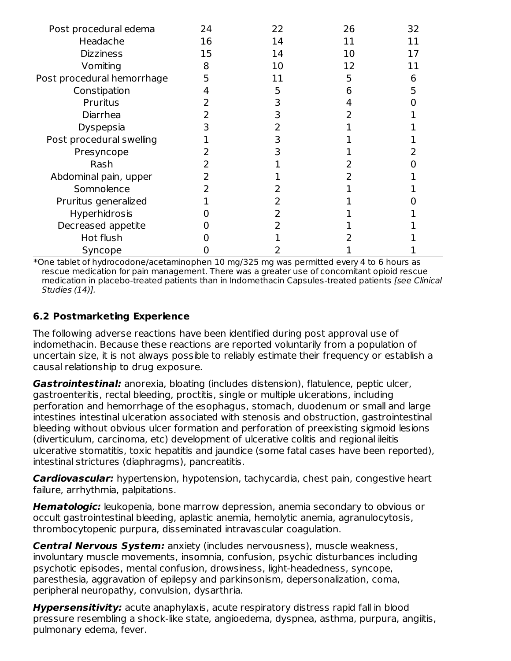| Post procedural edema      | 24 | 22 | 26 | 32 |
|----------------------------|----|----|----|----|
| Headache                   | 16 | 14 | 11 | 11 |
| <b>Dizziness</b>           | 15 | 14 | 10 | 17 |
| Vomiting                   | 8  | 10 | 12 | 11 |
| Post procedural hemorrhage | 5  | 11 | 5  | 6  |
| Constipation               | 4  | 5  | 6  | 5  |
| Pruritus                   |    |    | 4  |    |
| Diarrhea                   |    |    |    |    |
| Dyspepsia                  |    |    |    |    |
| Post procedural swelling   |    |    |    |    |
| Presyncope                 |    |    |    |    |
| Rash                       |    |    |    |    |
| Abdominal pain, upper      |    |    |    |    |
| Somnolence                 |    |    |    |    |
| Pruritus generalized       |    |    |    |    |
| Hyperhidrosis              |    |    |    |    |
| Decreased appetite         |    |    |    |    |
| Hot flush                  |    |    |    |    |
| Syncope                    |    |    |    |    |

\*One tablet of hydrocodone/acetaminophen 10 mg/325 mg was permitted every 4 to 6 hours as rescue medication for pain management. There was a greater use of concomitant opioid rescue medication in placebo-treated patients than in Indomethacin Capsules-treated patients [see Clinical Studies (14)].

## **6.2 Postmarketing Experience**

The following adverse reactions have been identified during post approval use of indomethacin. Because these reactions are reported voluntarily from a population of uncertain size, it is not always possible to reliably estimate their frequency or establish a causal relationship to drug exposure.

**Gastrointestinal:** anorexia, bloating (includes distension), flatulence, peptic ulcer, gastroenteritis, rectal bleeding, proctitis, single or multiple ulcerations, including perforation and hemorrhage of the esophagus, stomach, duodenum or small and large intestines intestinal ulceration associated with stenosis and obstruction, gastrointestinal bleeding without obvious ulcer formation and perforation of preexisting sigmoid lesions (diverticulum, carcinoma, etc) development of ulcerative colitis and regional ileitis ulcerative stomatitis, toxic hepatitis and jaundice (some fatal cases have been reported), intestinal strictures (diaphragms), pancreatitis.

**Cardiovascular:** hypertension, hypotension, tachycardia, chest pain, congestive heart failure, arrhythmia, palpitations.

**Hematologic:** leukopenia, bone marrow depression, anemia secondary to obvious or occult gastrointestinal bleeding, aplastic anemia, hemolytic anemia, agranulocytosis, thrombocytopenic purpura, disseminated intravascular coagulation.

**Central Nervous System:** anxiety (includes nervousness), muscle weakness, involuntary muscle movements, insomnia, confusion, psychic disturbances including psychotic episodes, mental confusion, drowsiness, light-headedness, syncope, paresthesia, aggravation of epilepsy and parkinsonism, depersonalization, coma, peripheral neuropathy, convulsion, dysarthria.

**Hypersensitivity:** acute anaphylaxis, acute respiratory distress rapid fall in blood pressure resembling a shock-like state, angioedema, dyspnea, asthma, purpura, angiitis, pulmonary edema, fever.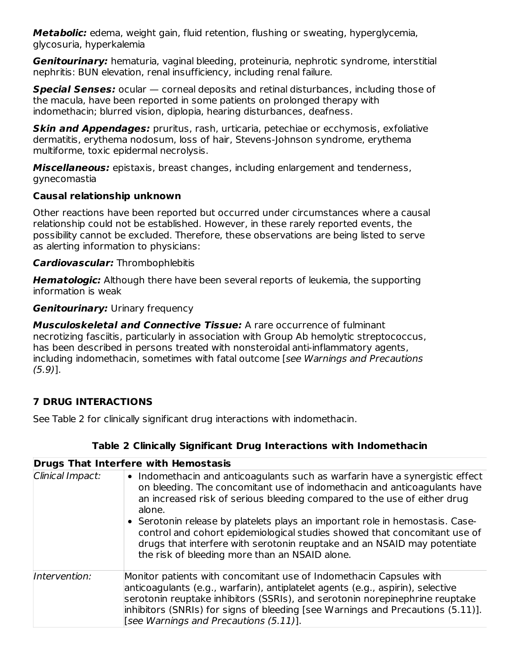Metabolic: edema, weight gain, fluid retention, flushing or sweating, hyperglycemia. glycosuria, hyperkalemia

**Genitourinary:** hematuria, vaginal bleeding, proteinuria, nephrotic syndrome, interstitial nephritis: BUN elevation, renal insufficiency, including renal failure.

**Special Senses:** ocular — corneal deposits and retinal disturbances, including those of the macula, have been reported in some patients on prolonged therapy with indomethacin; blurred vision, diplopia, hearing disturbances, deafness.

**Skin and Appendages:** pruritus, rash, urticaria, petechiae or ecchymosis, exfoliative dermatitis, erythema nodosum, loss of hair, Stevens-Johnson syndrome, erythema multiforme, toxic epidermal necrolysis.

**Miscellaneous:** epistaxis, breast changes, including enlargement and tenderness, gynecomastia

### **Causal relationship unknown**

Other reactions have been reported but occurred under circumstances where a causal relationship could not be established. However, in these rarely reported events, the possibility cannot be excluded. Therefore, these observations are being listed to serve as alerting information to physicians:

### **Cardiovascular:** Thrombophlebitis

**Hematologic:** Although there have been several reports of leukemia, the supporting information is weak

**Genitourinary:** Urinary frequency

**Musculoskeletal and Connective Tissue:** A rare occurrence of fulminant necrotizing fasciitis, particularly in association with Group Ab hemolytic streptococcus, has been described in persons treated with nonsteroidal anti-inflammatory agents, including indomethacin, sometimes with fatal outcome [see Warnings and Precautions  $(5.9)$ ].

## **7 DRUG INTERACTIONS**

See Table 2 for clinically significant drug interactions with indomethacin.

|                  | <b>Drugs That Interfere with Hemostasis</b>                                                                                                                                                                                                                                                                                                                                                                                                                                                                                              |
|------------------|------------------------------------------------------------------------------------------------------------------------------------------------------------------------------------------------------------------------------------------------------------------------------------------------------------------------------------------------------------------------------------------------------------------------------------------------------------------------------------------------------------------------------------------|
| Clinical Impact: | Indomethacin and anticoagulants such as warfarin have a synergistic effect<br>on bleeding. The concomitant use of indomethacin and anticoagulants have<br>an increased risk of serious bleeding compared to the use of either drug<br>alone.<br>• Serotonin release by platelets plays an important role in hemostasis. Case-<br>control and cohort epidemiological studies showed that concomitant use of<br>drugs that interfere with serotonin reuptake and an NSAID may potentiate<br>the risk of bleeding more than an NSAID alone. |
| Intervention:    | Monitor patients with concomitant use of Indomethacin Capsules with<br>anticoagulants (e.g., warfarin), antiplatelet agents (e.g., aspirin), selective<br>serotonin reuptake inhibitors (SSRIs), and serotonin norepinephrine reuptake<br>inhibitors (SNRIs) for signs of bleeding [see Warnings and Precautions $(5.11)$ ].<br>[see Warnings and Precautions (5.11)].                                                                                                                                                                   |

### **Table 2 Clinically Significant Drug Interactions with Indomethacin**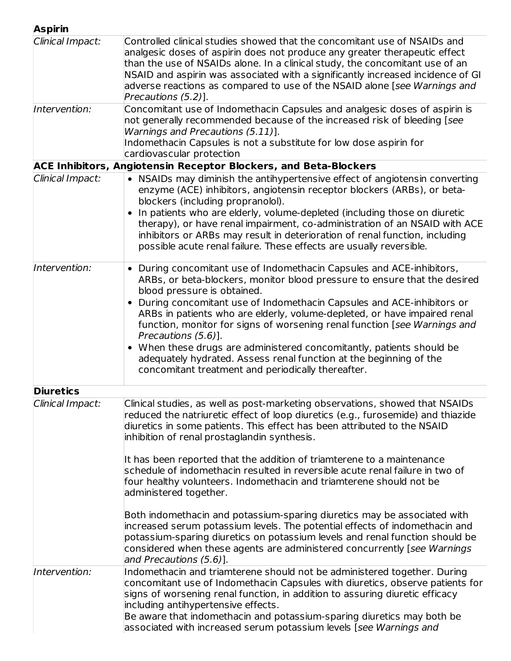| <b>Aspirin</b>   |                                                                                                                                                                                                                                                                                                                                                                                                                                                                                                                                                                                                                                                                                                                                                                                                                                                                                                            |
|------------------|------------------------------------------------------------------------------------------------------------------------------------------------------------------------------------------------------------------------------------------------------------------------------------------------------------------------------------------------------------------------------------------------------------------------------------------------------------------------------------------------------------------------------------------------------------------------------------------------------------------------------------------------------------------------------------------------------------------------------------------------------------------------------------------------------------------------------------------------------------------------------------------------------------|
| Clinical Impact: | Controlled clinical studies showed that the concomitant use of NSAIDs and<br>analgesic doses of aspirin does not produce any greater therapeutic effect<br>than the use of NSAIDs alone. In a clinical study, the concomitant use of an<br>NSAID and aspirin was associated with a significantly increased incidence of GI<br>adverse reactions as compared to use of the NSAID alone [see Warnings and<br>Precautions (5.2)].                                                                                                                                                                                                                                                                                                                                                                                                                                                                             |
| Intervention:    | Concomitant use of Indomethacin Capsules and analgesic doses of aspirin is<br>not generally recommended because of the increased risk of bleeding [see<br>Warnings and Precautions (5.11)].<br>Indomethacin Capsules is not a substitute for low dose aspirin for<br>cardiovascular protection                                                                                                                                                                                                                                                                                                                                                                                                                                                                                                                                                                                                             |
|                  | ACE Inhibitors, Angiotensin Receptor Blockers, and Beta-Blockers                                                                                                                                                                                                                                                                                                                                                                                                                                                                                                                                                                                                                                                                                                                                                                                                                                           |
| Clinical Impact: | • NSAIDs may diminish the antihypertensive effect of angiotensin converting<br>enzyme (ACE) inhibitors, angiotensin receptor blockers (ARBs), or beta-<br>blockers (including propranolol).<br>• In patients who are elderly, volume-depleted (including those on diuretic<br>therapy), or have renal impairment, co-administration of an NSAID with ACE<br>inhibitors or ARBs may result in deterioration of renal function, including<br>possible acute renal failure. These effects are usually reversible.                                                                                                                                                                                                                                                                                                                                                                                             |
| Intervention:    | • During concomitant use of Indomethacin Capsules and ACE-inhibitors,<br>ARBs, or beta-blockers, monitor blood pressure to ensure that the desired<br>blood pressure is obtained.<br>• During concomitant use of Indomethacin Capsules and ACE-inhibitors or<br>ARBs in patients who are elderly, volume-depleted, or have impaired renal<br>function, monitor for signs of worsening renal function [see Warnings and<br>Precautions (5.6)].<br>• When these drugs are administered concomitantly, patients should be<br>adequately hydrated. Assess renal function at the beginning of the<br>concomitant treatment and periodically thereafter.                                                                                                                                                                                                                                                         |
| <b>Diuretics</b> |                                                                                                                                                                                                                                                                                                                                                                                                                                                                                                                                                                                                                                                                                                                                                                                                                                                                                                            |
| Clinical Impact: | Clinical studies, as well as post-marketing observations, showed that NSAIDs<br>reduced the natriuretic effect of loop diuretics (e.g., furosemide) and thiazide<br>diuretics in some patients. This effect has been attributed to the NSAID<br>inhibition of renal prostaglandin synthesis.<br>It has been reported that the addition of triamterene to a maintenance<br>schedule of indomethacin resulted in reversible acute renal failure in two of<br>four healthy volunteers. Indomethacin and triamterene should not be<br>administered together.<br>Both indomethacin and potassium-sparing diuretics may be associated with<br>increased serum potassium levels. The potential effects of indomethacin and<br>potassium-sparing diuretics on potassium levels and renal function should be<br>considered when these agents are administered concurrently [see Warnings<br>and Precautions (5.6)]. |
| Intervention:    | Indomethacin and triamterene should not be administered together. During<br>concomitant use of Indomethacin Capsules with diuretics, observe patients for<br>signs of worsening renal function, in addition to assuring diuretic efficacy<br>including antihypertensive effects.<br>Be aware that indomethacin and potassium-sparing diuretics may both be                                                                                                                                                                                                                                                                                                                                                                                                                                                                                                                                                 |

associated with increased serum potassium levels [*see Warnings and*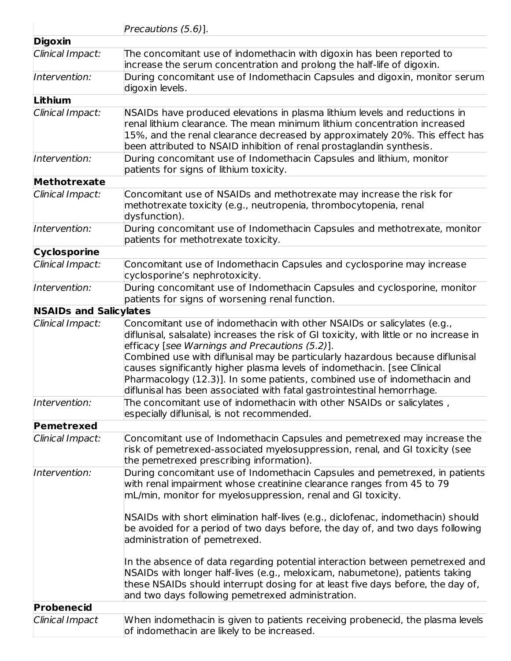|                                   | Precautions (5.6)].                                                                                                                                                                                                                                                                                                                                                                                                                                                                                                                                                                                              |
|-----------------------------------|------------------------------------------------------------------------------------------------------------------------------------------------------------------------------------------------------------------------------------------------------------------------------------------------------------------------------------------------------------------------------------------------------------------------------------------------------------------------------------------------------------------------------------------------------------------------------------------------------------------|
| <b>Digoxin</b>                    |                                                                                                                                                                                                                                                                                                                                                                                                                                                                                                                                                                                                                  |
| Clinical Impact:                  | The concomitant use of indomethacin with digoxin has been reported to<br>increase the serum concentration and prolong the half-life of digoxin.                                                                                                                                                                                                                                                                                                                                                                                                                                                                  |
| Intervention:                     | During concomitant use of Indomethacin Capsules and digoxin, monitor serum<br>digoxin levels.                                                                                                                                                                                                                                                                                                                                                                                                                                                                                                                    |
| Lithium                           |                                                                                                                                                                                                                                                                                                                                                                                                                                                                                                                                                                                                                  |
| Clinical Impact:                  | NSAIDs have produced elevations in plasma lithium levels and reductions in<br>renal lithium clearance. The mean minimum lithium concentration increased<br>15%, and the renal clearance decreased by approximately 20%. This effect has<br>been attributed to NSAID inhibition of renal prostaglandin synthesis.                                                                                                                                                                                                                                                                                                 |
| Intervention:                     | During concomitant use of Indomethacin Capsules and lithium, monitor<br>patients for signs of lithium toxicity.                                                                                                                                                                                                                                                                                                                                                                                                                                                                                                  |
| Methotrexate                      |                                                                                                                                                                                                                                                                                                                                                                                                                                                                                                                                                                                                                  |
| Clinical Impact:                  | Concomitant use of NSAIDs and methotrexate may increase the risk for<br>methotrexate toxicity (e.g., neutropenia, thrombocytopenia, renal<br>dysfunction).                                                                                                                                                                                                                                                                                                                                                                                                                                                       |
| Intervention:                     | During concomitant use of Indomethacin Capsules and methotrexate, monitor<br>patients for methotrexate toxicity.                                                                                                                                                                                                                                                                                                                                                                                                                                                                                                 |
| <b>Cyclosporine</b>               |                                                                                                                                                                                                                                                                                                                                                                                                                                                                                                                                                                                                                  |
| Clinical Impact:                  | Concomitant use of Indomethacin Capsules and cyclosporine may increase<br>cyclosporine's nephrotoxicity.                                                                                                                                                                                                                                                                                                                                                                                                                                                                                                         |
| Intervention:                     | During concomitant use of Indomethacin Capsules and cyclosporine, monitor<br>patients for signs of worsening renal function.                                                                                                                                                                                                                                                                                                                                                                                                                                                                                     |
| <b>NSAIDs and Salicylates</b>     |                                                                                                                                                                                                                                                                                                                                                                                                                                                                                                                                                                                                                  |
| Clinical Impact:<br>Intervention: | Concomitant use of indomethacin with other NSAIDs or salicylates (e.g.,<br>diflunisal, salsalate) increases the risk of GI toxicity, with little or no increase in<br>efficacy [see Warnings and Precautions (5.2)].<br>Combined use with diflunisal may be particularly hazardous because diflunisal<br>causes significantly higher plasma levels of indomethacin. [see Clinical<br>Pharmacology (12.3)]. In some patients, combined use of indomethacin and<br>diflunisal has been associated with fatal gastrointestinal hemorrhage.<br>The concomitant use of indomethacin with other NSAIDs or salicylates, |
|                                   | especially diflunisal, is not recommended.                                                                                                                                                                                                                                                                                                                                                                                                                                                                                                                                                                       |
| Pemetrexed                        |                                                                                                                                                                                                                                                                                                                                                                                                                                                                                                                                                                                                                  |
| Clinical Impact:                  | Concomitant use of Indomethacin Capsules and pemetrexed may increase the<br>risk of pemetrexed-associated myelosuppression, renal, and GI toxicity (see<br>the pemetrexed prescribing information).                                                                                                                                                                                                                                                                                                                                                                                                              |
| Intervention:                     | During concomitant use of Indomethacin Capsules and pemetrexed, in patients<br>with renal impairment whose creatinine clearance ranges from 45 to 79<br>mL/min, monitor for myelosuppression, renal and GI toxicity.<br>NSAIDs with short elimination half-lives (e.g., diclofenac, indomethacin) should                                                                                                                                                                                                                                                                                                         |
|                                   | be avoided for a period of two days before, the day of, and two days following<br>administration of pemetrexed.                                                                                                                                                                                                                                                                                                                                                                                                                                                                                                  |
|                                   | In the absence of data regarding potential interaction between pemetrexed and<br>NSAIDs with longer half-lives (e.g., meloxicam, nabumetone), patients taking<br>these NSAIDs should interrupt dosing for at least five days before, the day of,<br>and two days following pemetrexed administration.                                                                                                                                                                                                                                                                                                            |
| Probenecid                        |                                                                                                                                                                                                                                                                                                                                                                                                                                                                                                                                                                                                                  |
| Clinical Impact                   | When indomethacin is given to patients receiving probenecid, the plasma levels<br>of indomethacin are likely to be increased.                                                                                                                                                                                                                                                                                                                                                                                                                                                                                    |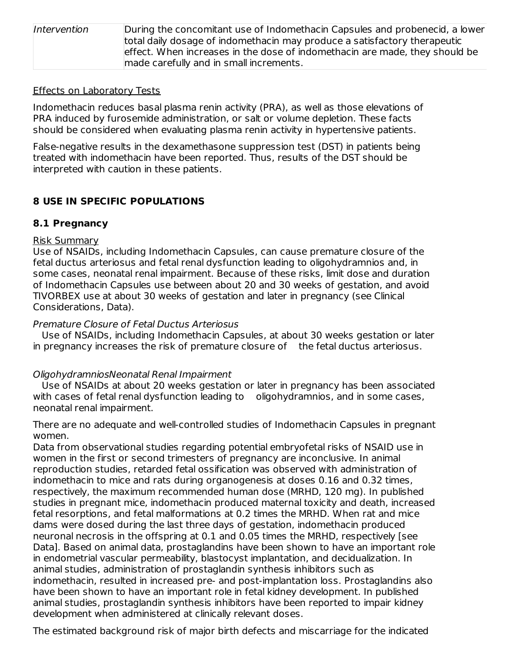| Intervention | During the concomitant use of Indomethacin Capsules and probenecid, a lower |
|--------------|-----------------------------------------------------------------------------|
|              | total daily dosage of indomethacin may produce a satisfactory therapeutic   |
|              | effect. When increases in the dose of indomethacin are made, they should be |
|              | made carefully and in small increments.                                     |

### **Effects on Laboratory Tests**

Indomethacin reduces basal plasma renin activity (PRA), as well as those elevations of PRA induced by furosemide administration, or salt or volume depletion. These facts should be considered when evaluating plasma renin activity in hypertensive patients.

False-negative results in the dexamethasone suppression test (DST) in patients being treated with indomethacin have been reported. Thus, results of the DST should be interpreted with caution in these patients.

## **8 USE IN SPECIFIC POPULATIONS**

## **8.1 Pregnancy**

### Risk Summary

Use of NSAIDs, including Indomethacin Capsules, can cause premature closure of the fetal ductus arteriosus and fetal renal dysfunction leading to oligohydramnios and, in some cases, neonatal renal impairment. Because of these risks, limit dose and duration of Indomethacin Capsules use between about 20 and 30 weeks of gestation, and avoid TIVORBEX use at about 30 weeks of gestation and later in pregnancy (see Clinical Considerations, Data).

### Premature Closure of Fetal Ductus Arteriosus

Use of NSAIDs, including Indomethacin Capsules, at about 30 weeks gestation or later in pregnancy increases the risk of premature closure of the fetal ductus arteriosus.

### OligohydramniosNeonatal Renal Impairment

Use of NSAIDs at about 20 weeks gestation or later in pregnancy has been associated with cases of fetal renal dysfunction leading to oligohydramnios, and in some cases, neonatal renal impairment.

There are no adequate and well-controlled studies of Indomethacin Capsules in pregnant women.

Data from observational studies regarding potential embryofetal risks of NSAID use in women in the first or second trimesters of pregnancy are inconclusive. In animal reproduction studies, retarded fetal ossification was observed with administration of indomethacin to mice and rats during organogenesis at doses 0.16 and 0.32 times, respectively, the maximum recommended human dose (MRHD, 120 mg). In published studies in pregnant mice, indomethacin produced maternal toxicity and death, increased fetal resorptions, and fetal malformations at 0.2 times the MRHD. When rat and mice dams were dosed during the last three days of gestation, indomethacin produced neuronal necrosis in the offspring at 0.1 and 0.05 times the MRHD, respectively [see Data]. Based on animal data, prostaglandins have been shown to have an important role in endometrial vascular permeability, blastocyst implantation, and decidualization. In animal studies, administration of prostaglandin synthesis inhibitors such as indomethacin, resulted in increased pre- and post-implantation loss. Prostaglandins also have been shown to have an important role in fetal kidney development. In published animal studies, prostaglandin synthesis inhibitors have been reported to impair kidney development when administered at clinically relevant doses.

The estimated background risk of major birth defects and miscarriage for the indicated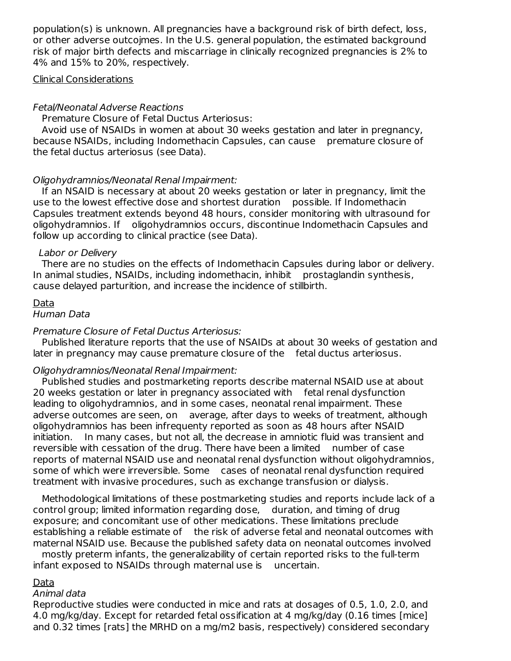population(s) is unknown. All pregnancies have a background risk of birth defect, loss, or other adverse outcojmes. In the U.S. general population, the estimated background risk of major birth defects and miscarriage in clinically recognized pregnancies is 2% to 4% and 15% to 20%, respectively.

#### Clinical Considerations

#### Fetal/Neonatal Adverse Reactions

Premature Closure of Fetal Ductus Arteriosus:

Avoid use of NSAIDs in women at about 30 weeks gestation and later in pregnancy, because NSAIDs, including Indomethacin Capsules, can cause premature closure of the fetal ductus arteriosus (see Data).

#### Oligohydramnios/Neonatal Renal Impairment:

If an NSAID is necessary at about 20 weeks gestation or later in pregnancy, limit the use to the lowest effective dose and shortest duration possible. If Indomethacin Capsules treatment extends beyond 48 hours, consider monitoring with ultrasound for oligohydramnios. If oligohydramnios occurs, discontinue Indomethacin Capsules and follow up according to clinical practice (see Data).

#### Labor or Delivery

There are no studies on the effects of Indomethacin Capsules during labor or delivery. In animal studies, NSAIDs, including indomethacin, inhibit prostaglandin synthesis, cause delayed parturition, and increase the incidence of stillbirth.

# Data

# Human Data

#### Premature Closure of Fetal Ductus Arteriosus:

Published literature reports that the use of NSAIDs at about 30 weeks of gestation and later in pregnancy may cause premature closure of the fetal ductus arteriosus.

#### Oligohydramnios/Neonatal Renal Impairment:

Published studies and postmarketing reports describe maternal NSAID use at about 20 weeks gestation or later in pregnancy associated with fetal renal dysfunction leading to oligohydramnios, and in some cases, neonatal renal impairment. These adverse outcomes are seen, on average, after days to weeks of treatment, although oligohydramnios has been infrequenty reported as soon as 48 hours after NSAID initiation. In many cases, but not all, the decrease in amniotic fluid was transient and reversible with cessation of the drug. There have been a limited number of case reports of maternal NSAID use and neonatal renal dysfunction without oligohydramnios, some of which were irreversible. Some cases of neonatal renal dysfunction required treatment with invasive procedures, such as exchange transfusion or dialysis.

Methodological limitations of these postmarketing studies and reports include lack of a control group; limited information regarding dose, duration, and timing of drug exposure; and concomitant use of other medications. These limitations preclude establishing a reliable estimate of the risk of adverse fetal and neonatal outcomes with maternal NSAID use. Because the published safety data on neonatal outcomes involved

mostly preterm infants, the generalizability of certain reported risks to the full-term infant exposed to NSAIDs through maternal use is uncertain.

#### Data

### Animal data

Reproductive studies were conducted in mice and rats at dosages of 0.5, 1.0, 2.0, and 4.0 mg/kg/day. Except for retarded fetal ossification at 4 mg/kg/day (0.16 times [mice] and 0.32 times [rats] the MRHD on a mg/m2 basis, respectively) considered secondary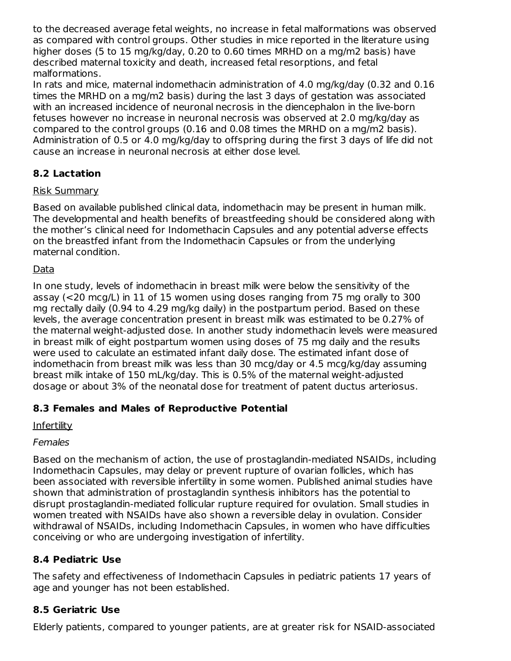to the decreased average fetal weights, no increase in fetal malformations was observed as compared with control groups. Other studies in mice reported in the literature using higher doses (5 to 15 mg/kg/day, 0.20 to 0.60 times MRHD on a mg/m2 basis) have described maternal toxicity and death, increased fetal resorptions, and fetal malformations.

In rats and mice, maternal indomethacin administration of 4.0 mg/kg/day (0.32 and 0.16 times the MRHD on a mg/m2 basis) during the last 3 days of gestation was associated with an increased incidence of neuronal necrosis in the diencephalon in the live-born fetuses however no increase in neuronal necrosis was observed at 2.0 mg/kg/day as compared to the control groups (0.16 and 0.08 times the MRHD on a mg/m2 basis). Administration of 0.5 or 4.0 mg/kg/day to offspring during the first 3 days of life did not cause an increase in neuronal necrosis at either dose level.

## **8.2 Lactation**

## Risk Summary

Based on available published clinical data, indomethacin may be present in human milk. The developmental and health benefits of breastfeeding should be considered along with the mother's clinical need for Indomethacin Capsules and any potential adverse effects on the breastfed infant from the Indomethacin Capsules or from the underlying maternal condition.

## Data

In one study, levels of indomethacin in breast milk were below the sensitivity of the assay (<20 mcg/L) in 11 of 15 women using doses ranging from 75 mg orally to 300 mg rectally daily (0.94 to 4.29 mg/kg daily) in the postpartum period. Based on these levels, the average concentration present in breast milk was estimated to be 0.27% of the maternal weight-adjusted dose. In another study indomethacin levels were measured in breast milk of eight postpartum women using doses of 75 mg daily and the results were used to calculate an estimated infant daily dose. The estimated infant dose of indomethacin from breast milk was less than 30 mcg/day or 4.5 mcg/kg/day assuming breast milk intake of 150 mL/kg/day. This is 0.5% of the maternal weight-adjusted dosage or about 3% of the neonatal dose for treatment of patent ductus arteriosus.

### **8.3 Females and Males of Reproductive Potential**

Infertility

### Females

Based on the mechanism of action, the use of prostaglandin-mediated NSAIDs, including Indomethacin Capsules, may delay or prevent rupture of ovarian follicles, which has been associated with reversible infertility in some women. Published animal studies have shown that administration of prostaglandin synthesis inhibitors has the potential to disrupt prostaglandin-mediated follicular rupture required for ovulation. Small studies in women treated with NSAIDs have also shown a reversible delay in ovulation. Consider withdrawal of NSAIDs, including Indomethacin Capsules, in women who have difficulties conceiving or who are undergoing investigation of infertility.

## **8.4 Pediatric Use**

The safety and effectiveness of Indomethacin Capsules in pediatric patients 17 years of age and younger has not been established.

## **8.5 Geriatric Use**

Elderly patients, compared to younger patients, are at greater risk for NSAID-associated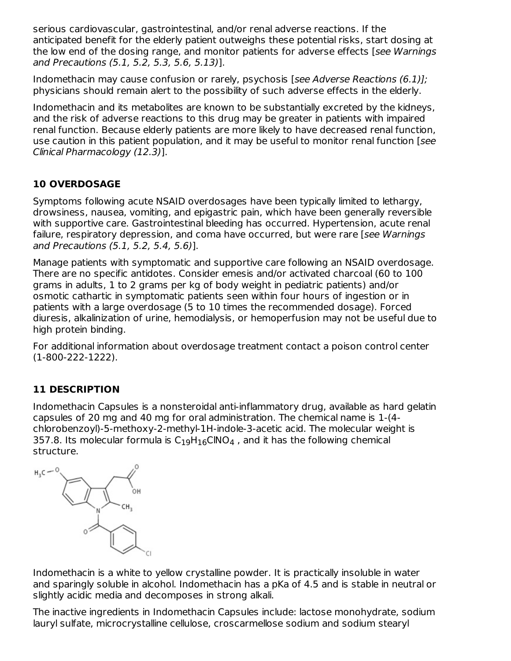serious cardiovascular, gastrointestinal, and/or renal adverse reactions. If the anticipated benefit for the elderly patient outweighs these potential risks, start dosing at the low end of the dosing range, and monitor patients for adverse effects [see Warnings] and Precautions (5.1, 5.2, 5.3, 5.6, 5.13)].

Indomethacin may cause confusion or rarely, psychosis [see Adverse Reactions (6.1)]; physicians should remain alert to the possibility of such adverse effects in the elderly.

Indomethacin and its metabolites are known to be substantially excreted by the kidneys, and the risk of adverse reactions to this drug may be greater in patients with impaired renal function. Because elderly patients are more likely to have decreased renal function, use caution in this patient population, and it may be useful to monitor renal function [see Clinical Pharmacology (12.3)].

### **10 OVERDOSAGE**

Symptoms following acute NSAID overdosages have been typically limited to lethargy, drowsiness, nausea, vomiting, and epigastric pain, which have been generally reversible with supportive care. Gastrointestinal bleeding has occurred. Hypertension, acute renal failure, respiratory depression, and coma have occurred, but were rare [see Warnings] and Precautions (5.1, 5.2, 5.4, 5.6)].

Manage patients with symptomatic and supportive care following an NSAID overdosage. There are no specific antidotes. Consider emesis and/or activated charcoal (60 to 100 grams in adults, 1 to 2 grams per kg of body weight in pediatric patients) and/or osmotic cathartic in symptomatic patients seen within four hours of ingestion or in patients with a large overdosage (5 to 10 times the recommended dosage). Forced diuresis, alkalinization of urine, hemodialysis, or hemoperfusion may not be useful due to high protein binding.

For additional information about overdosage treatment contact a poison control center (1-800-222-1222).

## **11 DESCRIPTION**

Indomethacin Capsules is a nonsteroidal anti-inflammatory drug, available as hard gelatin capsules of 20 mg and 40 mg for oral administration. The chemical name is 1-(4 chlorobenzoyl)-5-methoxy-2-methyl-1H-indole-3-acetic acid. The molecular weight is 357.8. Its molecular formula is  $C_{19}H_{16}CNO_4$  , and it has the following chemical structure.



Indomethacin is a white to yellow crystalline powder. It is practically insoluble in water and sparingly soluble in alcohol. Indomethacin has a pKa of 4.5 and is stable in neutral or slightly acidic media and decomposes in strong alkali.

The inactive ingredients in Indomethacin Capsules include: lactose monohydrate, sodium lauryl sulfate, microcrystalline cellulose, croscarmellose sodium and sodium stearyl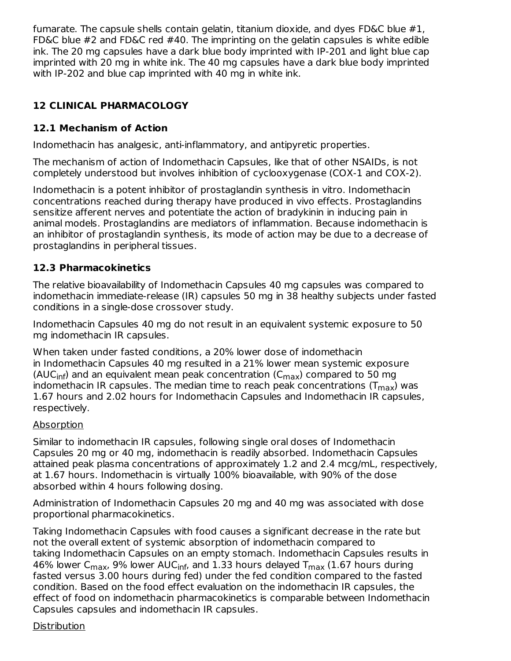fumarate. The capsule shells contain gelatin, titanium dioxide, and dyes FD&C blue  $\#1$ , FD&C blue #2 and FD&C red #40. The imprinting on the gelatin capsules is white edible ink. The 20 mg capsules have a dark blue body imprinted with IP-201 and light blue cap imprinted with 20 mg in white ink. The 40 mg capsules have a dark blue body imprinted with IP-202 and blue cap imprinted with 40 mg in white ink.

## **12 CLINICAL PHARMACOLOGY**

### **12.1 Mechanism of Action**

Indomethacin has analgesic, anti-inflammatory, and antipyretic properties.

The mechanism of action of Indomethacin Capsules, like that of other NSAIDs, is not completely understood but involves inhibition of cyclooxygenase (COX-1 and COX-2).

Indomethacin is a potent inhibitor of prostaglandin synthesis in vitro. Indomethacin concentrations reached during therapy have produced in vivo effects. Prostaglandins sensitize afferent nerves and potentiate the action of bradykinin in inducing pain in animal models. Prostaglandins are mediators of inflammation. Because indomethacin is an inhibitor of prostaglandin synthesis, its mode of action may be due to a decrease of prostaglandins in peripheral tissues.

### **12.3 Pharmacokinetics**

The relative bioavailability of Indomethacin Capsules 40 mg capsules was compared to indomethacin immediate-release (IR) capsules 50 mg in 38 healthy subjects under fasted conditions in a single-dose crossover study.

Indomethacin Capsules 40 mg do not result in an equivalent systemic exposure to 50 mg indomethacin IR capsules.

When taken under fasted conditions, a 20% lower dose of indomethacin in Indomethacin Capsules 40 mg resulted in a 21% lower mean systemic exposure (AUC<sub>inf</sub>) and an equivalent mean peak concentration (C<sub>max</sub>) compared to 50 mg indomethacin IR capsules. The median time to reach peak concentrations (T $_{\sf max}$ ) was 1.67 hours and 2.02 hours for Indomethacin Capsules and Indomethacin IR capsules, respectively.

### Absorption

Similar to indomethacin IR capsules, following single oral doses of Indomethacin Capsules 20 mg or 40 mg, indomethacin is readily absorbed. Indomethacin Capsules attained peak plasma concentrations of approximately 1.2 and 2.4 mcg/mL, respectively, at 1.67 hours. Indomethacin is virtually 100% bioavailable, with 90% of the dose absorbed within 4 hours following dosing.

Administration of Indomethacin Capsules 20 mg and 40 mg was associated with dose proportional pharmacokinetics.

Taking Indomethacin Capsules with food causes a significant decrease in the rate but not the overall extent of systemic absorption of indomethacin compared to taking Indomethacin Capsules on an empty stomach. Indomethacin Capsules results in 46% lower C $_{\sf max}$ , 9% lower AUC $_{\sf inf}$ , and 1.33 hours delayed T $_{\sf max}$  (1.67 hours during fasted versus 3.00 hours during fed) under the fed condition compared to the fasted condition. Based on the food effect evaluation on the indomethacin IR capsules, the effect of food on indomethacin pharmacokinetics is comparable between Indomethacin Capsules capsules and indomethacin IR capsules.

### **Distribution**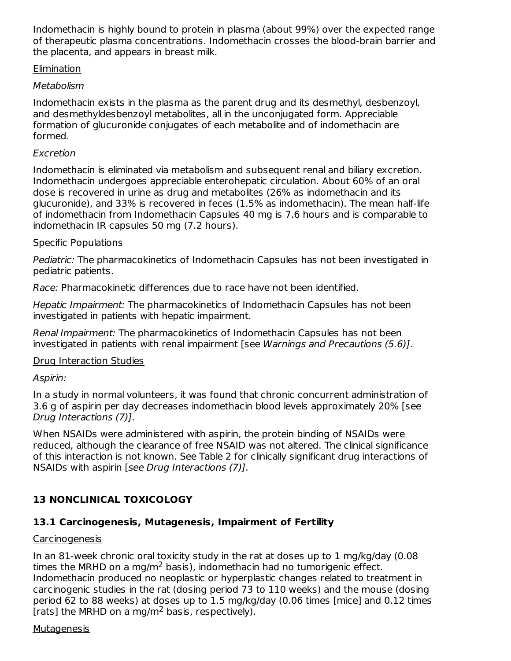Indomethacin is highly bound to protein in plasma (about 99%) over the expected range of therapeutic plasma concentrations. Indomethacin crosses the blood-brain barrier and the placenta, and appears in breast milk.

### **Elimination**

### Metabolism

Indomethacin exists in the plasma as the parent drug and its desmethyl, desbenzoyl, and desmethyldesbenzoyl metabolites, all in the unconjugated form. Appreciable formation of glucuronide conjugates of each metabolite and of indomethacin are formed.

### Excretion

Indomethacin is eliminated via metabolism and subsequent renal and biliary excretion. Indomethacin undergoes appreciable enterohepatic circulation. About 60% of an oral dose is recovered in urine as drug and metabolites (26% as indomethacin and its glucuronide), and 33% is recovered in feces (1.5% as indomethacin). The mean half-life of indomethacin from Indomethacin Capsules 40 mg is 7.6 hours and is comparable to indomethacin IR capsules 50 mg (7.2 hours).

### Specific Populations

Pediatric: The pharmacokinetics of Indomethacin Capsules has not been investigated in pediatric patients.

Race: Pharmacokinetic differences due to race have not been identified.

Hepatic Impairment: The pharmacokinetics of Indomethacin Capsules has not been investigated in patients with hepatic impairment.

Renal Impairment: The pharmacokinetics of Indomethacin Capsules has not been investigated in patients with renal impairment [see Warnings and Precautions (5.6)].

### Drug Interaction Studies

Aspirin:

In a study in normal volunteers, it was found that chronic concurrent administration of 3.6 g of aspirin per day decreases indomethacin blood levels approximately 20% [see Drug Interactions (7)].

When NSAIDs were administered with aspirin, the protein binding of NSAIDs were reduced, although the clearance of free NSAID was not altered. The clinical significance of this interaction is not known. See Table 2 for clinically significant drug interactions of NSAIDs with aspirin [see Drug Interactions (7)].

## **13 NONCLINICAL TOXICOLOGY**

### **13.1 Carcinogenesis, Mutagenesis, Impairment of Fertility**

### **Carcinogenesis**

In an 81-week chronic oral toxicity study in the rat at doses up to 1 mg/kg/day (0.08 times the MRHD on a mg/m<sup>2</sup> basis), indomethacin had no tumorigenic effect. Indomethacin produced no neoplastic or hyperplastic changes related to treatment in carcinogenic studies in the rat (dosing period 73 to 110 weeks) and the mouse (dosing period 62 to 88 weeks) at doses up to 1.5 mg/kg/day (0.06 times [mice] and 0.12 times [rats] the MRHD on a mg/m<sup>2</sup> basis, respectively).

### **Mutagenesis**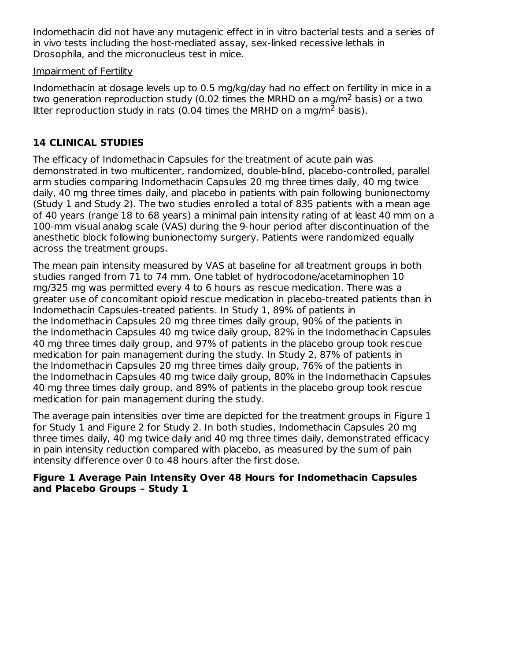Indomethacin did not have any mutagenic effect in in vitro bacterial tests and a series of in vivo tests including the host-mediated assay, sex-linked recessive lethals in Drosophila, and the micronucleus test in mice.

### Impairment of Fertility

Indomethacin at dosage levels up to 0.5 mg/kg/day had no effect on fertility in mice in a two generation reproduction study (0.02 times the MRHD on a mg/m<sup>2</sup> basis) or a two litter reproduction study in rats (0.04 times the MRHD on a mg/m<sup>2</sup> basis).

## **14 CLINICAL STUDIES**

The efficacy of Indomethacin Capsules for the treatment of acute pain was demonstrated in two multicenter, randomized, double-blind, placebo-controlled, parallel arm studies comparing Indomethacin Capsules 20 mg three times daily, 40 mg twice daily, 40 mg three times daily, and placebo in patients with pain following bunionectomy (Study 1 and Study 2). The two studies enrolled a total of 835 patients with a mean age of 40 years (range 18 to 68 years) a minimal pain intensity rating of at least 40 mm on a 100-mm visual analog scale (VAS) during the 9-hour period after discontinuation of the anesthetic block following bunionectomy surgery. Patients were randomized equally across the treatment groups.

The mean pain intensity measured by VAS at baseline for all treatment groups in both studies ranged from 71 to 74 mm. One tablet of hydrocodone/acetaminophen 10 mg/325 mg was permitted every 4 to 6 hours as rescue medication. There was a greater use of concomitant opioid rescue medication in placebo-treated patients than in Indomethacin Capsules-treated patients. In Study 1, 89% of patients in the Indomethacin Capsules 20 mg three times daily group, 90% of the patients in the Indomethacin Capsules 40 mg twice daily group, 82% in the Indomethacin Capsules 40 mg three times daily group, and 97% of patients in the placebo group took rescue medication for pain management during the study. In Study 2, 87% of patients in the Indomethacin Capsules 20 mg three times daily group, 76% of the patients in the Indomethacin Capsules 40 mg twice daily group, 80% in the Indomethacin Capsules 40 mg three times daily group, and 89% of patients in the placebo group took rescue medication for pain management during the study.

The average pain intensities over time are depicted for the treatment groups in Figure 1 for Study 1 and Figure 2 for Study 2. In both studies, Indomethacin Capsules 20 mg three times daily, 40 mg twice daily and 40 mg three times daily, demonstrated efficacy in pain intensity reduction compared with placebo, as measured by the sum of pain intensity difference over 0 to 48 hours after the first dose.

### **Figure 1 Average Pain Intensity Over 48 Hours for Indomethacin Capsules and Placebo Groups – Study 1**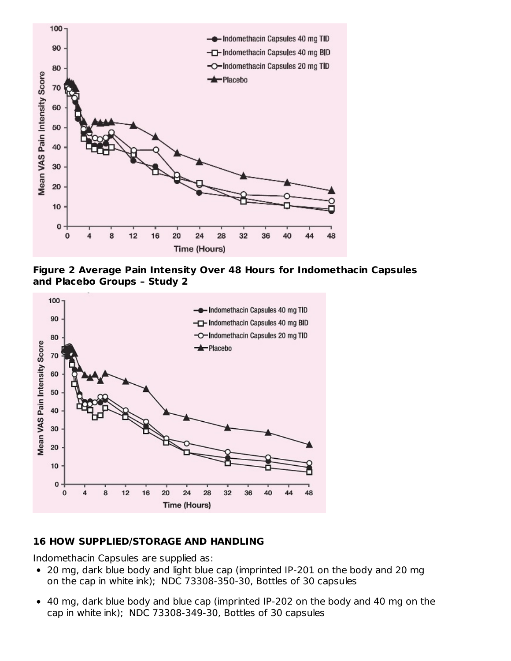

**Figure 2 Average Pain Intensity Over 48 Hours for Indomethacin Capsules and Placebo Groups – Study 2**



#### **16 HOW SUPPLIED/STORAGE AND HANDLING**

Indomethacin Capsules are supplied as:

- 20 mg, dark blue body and light blue cap (imprinted IP-201 on the body and 20 mg on the cap in white ink); NDC 73308-350-30, Bottles of 30 capsules
- 40 mg, dark blue body and blue cap (imprinted IP-202 on the body and 40 mg on the cap in white ink); NDC 73308-349-30, Bottles of 30 capsules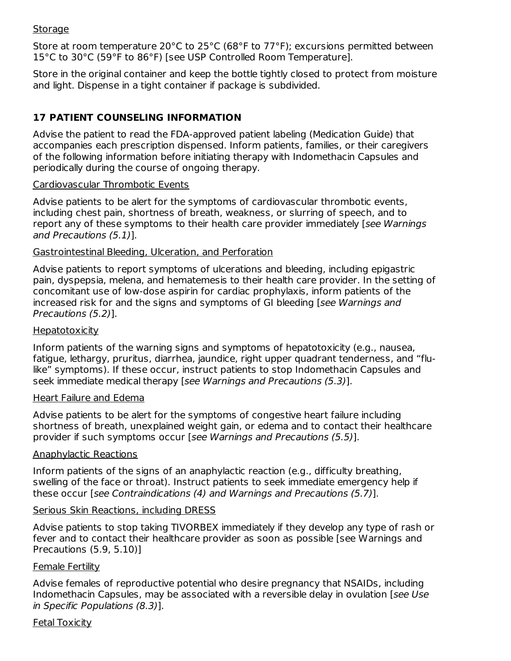### **Storage**

Store at room temperature 20°C to 25°C (68°F to 77°F); excursions permitted between 15°C to 30°C (59°F to 86°F) [see USP Controlled Room Temperature].

Store in the original container and keep the bottle tightly closed to protect from moisture and light. Dispense in a tight container if package is subdivided.

## **17 PATIENT COUNSELING INFORMATION**

Advise the patient to read the FDA-approved patient labeling (Medication Guide) that accompanies each prescription dispensed. Inform patients, families, or their caregivers of the following information before initiating therapy with Indomethacin Capsules and periodically during the course of ongoing therapy.

### Cardiovascular Thrombotic Events

Advise patients to be alert for the symptoms of cardiovascular thrombotic events, including chest pain, shortness of breath, weakness, or slurring of speech, and to report any of these symptoms to their health care provider immediately [see Warnings] and Precautions (5.1)].

### Gastrointestinal Bleeding, Ulceration, and Perforation

Advise patients to report symptoms of ulcerations and bleeding, including epigastric pain, dyspepsia, melena, and hematemesis to their health care provider. In the setting of concomitant use of low-dose aspirin for cardiac prophylaxis, inform patients of the increased risk for and the signs and symptoms of GI bleeding [see Warnings and Precautions (5.2)].

### **Hepatotoxicity**

Inform patients of the warning signs and symptoms of hepatotoxicity (e.g., nausea, fatigue, lethargy, pruritus, diarrhea, jaundice, right upper quadrant tenderness, and "flulike" symptoms). If these occur, instruct patients to stop Indomethacin Capsules and seek immediate medical therapy [see Warnings and Precautions (5.3)].

### Heart Failure and Edema

Advise patients to be alert for the symptoms of congestive heart failure including shortness of breath, unexplained weight gain, or edema and to contact their healthcare provider if such symptoms occur [see Warnings and Precautions (5.5)].

### Anaphylactic Reactions

Inform patients of the signs of an anaphylactic reaction (e.g., difficulty breathing, swelling of the face or throat). Instruct patients to seek immediate emergency help if these occur [see Contraindications (4) and Warnings and Precautions (5.7)].

### Serious Skin Reactions, including DRESS

Advise patients to stop taking TIVORBEX immediately if they develop any type of rash or fever and to contact their healthcare provider as soon as possible [see Warnings and Precautions (5.9, 5.10)]

### Female Fertility

Advise females of reproductive potential who desire pregnancy that NSAIDs, including Indomethacin Capsules, may be associated with a reversible delay in ovulation [see Use] in Specific Populations (8.3)].

### Fetal Toxicity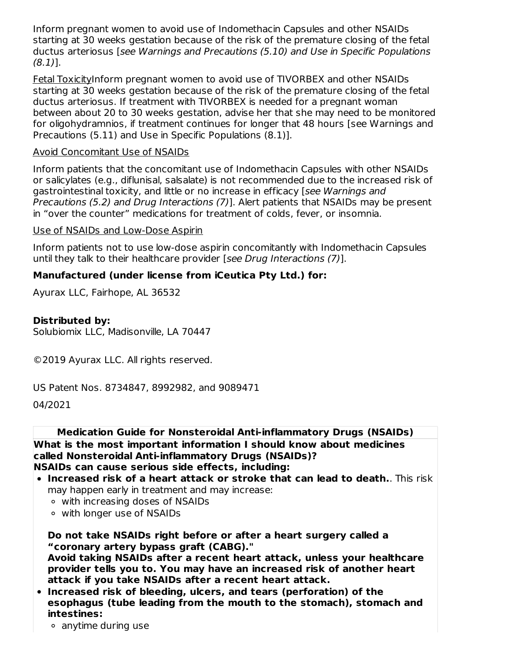Inform pregnant women to avoid use of Indomethacin Capsules and other NSAIDs starting at 30 weeks gestation because of the risk of the premature closing of the fetal ductus arteriosus [see Warnings and Precautions (5.10) and Use in Specific Populations (8.1)].

Fetal ToxicityInform pregnant women to avoid use of TIVORBEX and other NSAIDs starting at 30 weeks gestation because of the risk of the premature closing of the fetal ductus arteriosus. If treatment with TIVORBEX is needed for a pregnant woman between about 20 to 30 weeks gestation, advise her that she may need to be monitored for oligohydramnios, if treatment continues for longer that 48 hours [see Warnings and Precautions (5.11) and Use in Specific Populations (8.1)].

### Avoid Concomitant Use of NSAIDs

Inform patients that the concomitant use of Indomethacin Capsules with other NSAIDs or salicylates (e.g., diflunisal, salsalate) is not recommended due to the increased risk of gastrointestinal toxicity, and little or no increase in efficacy [see Warnings and Precautions (5.2) and Drug Interactions (7)]. Alert patients that NSAIDs may be present in "over the counter" medications for treatment of colds, fever, or insomnia.

### Use of NSAIDs and Low-Dose Aspirin

Inform patients not to use low-dose aspirin concomitantly with Indomethacin Capsules until they talk to their healthcare provider [see Drug Interactions (7)].

### **Manufactured (under license from iCeutica Pty Ltd.) for:**

Ayurax LLC, Fairhope, AL 36532

### **Distributed by:**

Solubiomix LLC, Madisonville, LA 70447

©2019 Ayurax LLC. All rights reserved.

US Patent Nos. 8734847, 8992982, and 9089471

04/2021

### **Medication Guide for Nonsteroidal Anti-inflammatory Drugs (NSAIDs)**

**What is the most important information I should know about medicines called Nonsteroidal Anti-inflammatory Drugs (NSAIDs)?**

### **NSAIDs can cause serious side effects, including:**

**Increased risk of a heart attack or stroke that can lead to death.**. This risk may happen early in treatment and may increase:

with increasing doses of NSAIDs

with longer use of NSAIDs

**Do not take NSAIDs right before or after a heart surgery called a "coronary artery bypass graft (CABG)."**

**Avoid taking NSAIDs after a recent heart attack, unless your healthcare provider tells you to. You may have an increased risk of another heart attack if you take NSAIDs after a recent heart attack.**

- **Increased risk of bleeding, ulcers, and tears (perforation) of the esophagus (tube leading from the mouth to the stomach), stomach and intestines:**
	- anytime during use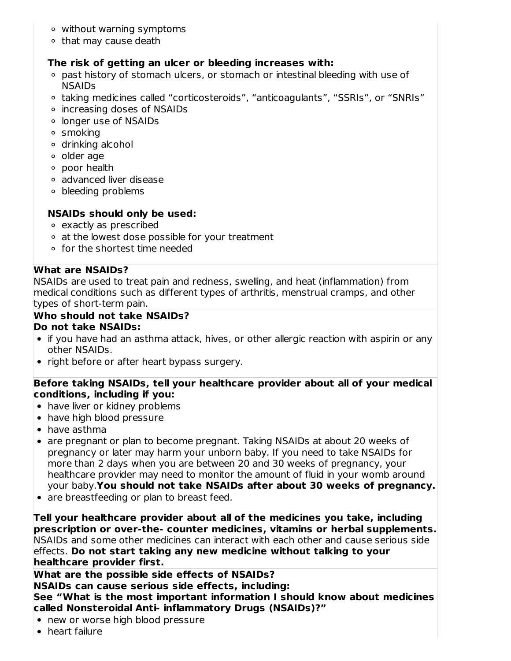- without warning symptoms
- that may cause death

### **The risk of getting an ulcer or bleeding increases with:**

- past history of stomach ulcers, or stomach or intestinal bleeding with use of NSAIDs
- taking medicines called "corticosteroids", "anticoagulants", "SSRIs", or "SNRIs"
- increasing doses of NSAIDs
- longer use of NSAIDs
- smoking
- drinking alcohol
- older age
- poor health
- advanced liver disease
- bleeding problems

## **NSAIDs should only be used:**

- exactly as prescribed
- at the lowest dose possible for your treatment
- o for the shortest time needed

## **What are NSAIDs?**

NSAIDs are used to treat pain and redness, swelling, and heat (inflammation) from medical conditions such as different types of arthritis, menstrual cramps, and other types of short-term pain.

## **Who should not take NSAIDs?**

## **Do not take NSAIDs:**

- if you have had an asthma attack, hives, or other allergic reaction with aspirin or any other NSAIDs.
- right before or after heart bypass surgery.

### **Before taking NSAIDs, tell your healthcare provider about all of your medical conditions, including if you:**

- have liver or kidney problems
- have high blood pressure
- have asthma
- are pregnant or plan to become pregnant. Taking NSAIDs at about 20 weeks of pregnancy or later may harm your unborn baby. If you need to take NSAIDs for more than 2 days when you are between 20 and 30 weeks of pregnancy, your healthcare provider may need to monitor the amount of fluid in your womb around your baby.**You should not take NSAIDs after about 30 weeks of pregnancy.**
- are breastfeeding or plan to breast feed.

**Tell your healthcare provider about all of the medicines you take, including prescription or over-the- counter medicines, vitamins or herbal supplements.** NSAIDs and some other medicines can interact with each other and cause serious side effects. **Do not start taking any new medicine without talking to your healthcare provider first.**

**What are the possible side effects of NSAIDs? NSAIDs can cause serious side effects, including: See "What is the most important information I should know about medicines called Nonsteroidal Anti- inflammatory Drugs (NSAIDs)?"**

- new or worse high blood pressure
- heart failure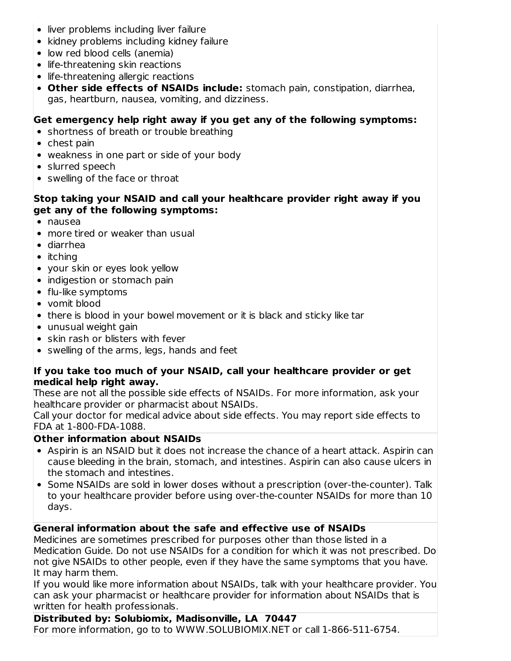- liver problems including liver failure
- kidney problems including kidney failure
- low red blood cells (anemia)
- life-threatening skin reactions
- life-threatening allergic reactions
- **Other side effects of NSAIDs include:** stomach pain, constipation, diarrhea, gas, heartburn, nausea, vomiting, and dizziness.

### **Get emergency help right away if you get any of the following symptoms:**

- shortness of breath or trouble breathing
- $\bullet$  chest pain
- weakness in one part or side of your body
- slurred speech
- swelling of the face or throat

### **Stop taking your NSAID and call your healthcare provider right away if you get any of the following symptoms:**

- nausea
- more tired or weaker than usual
- diarrhea
- $\bullet$  itching
- your skin or eyes look yellow
- indigestion or stomach pain
- flu-like symptoms
- vomit blood
- there is blood in your bowel movement or it is black and sticky like tar
- unusual weight gain
- skin rash or blisters with fever
- swelling of the arms, legs, hands and feet

### **If you take too much of your NSAID, call your healthcare provider or get medical help right away.**

These are not all the possible side effects of NSAIDs. For more information, ask your healthcare provider or pharmacist about NSAIDs.

Call your doctor for medical advice about side effects. You may report side effects to FDA at 1-800-FDA-1088.

### **Other information about NSAIDs**

- Aspirin is an NSAID but it does not increase the chance of a heart attack. Aspirin can cause bleeding in the brain, stomach, and intestines. Aspirin can also cause ulcers in the stomach and intestines.
- Some NSAIDs are sold in lower doses without a prescription (over-the-counter). Talk to your healthcare provider before using over-the-counter NSAIDs for more than 10 days.

### **General information about the safe and effective use of NSAIDs**

Medicines are sometimes prescribed for purposes other than those listed in a Medication Guide. Do not use NSAIDs for a condition for which it was not prescribed. Do not give NSAIDs to other people, even if they have the same symptoms that you have. It may harm them.

If you would like more information about NSAIDs, talk with your healthcare provider. You can ask your pharmacist or healthcare provider for information about NSAIDs that is written for health professionals.

**Distributed by: Solubiomix, Madisonville, LA 70447** For more information, go to to WWW.SOLUBIOMIX.NET or call 1-866-511-6754.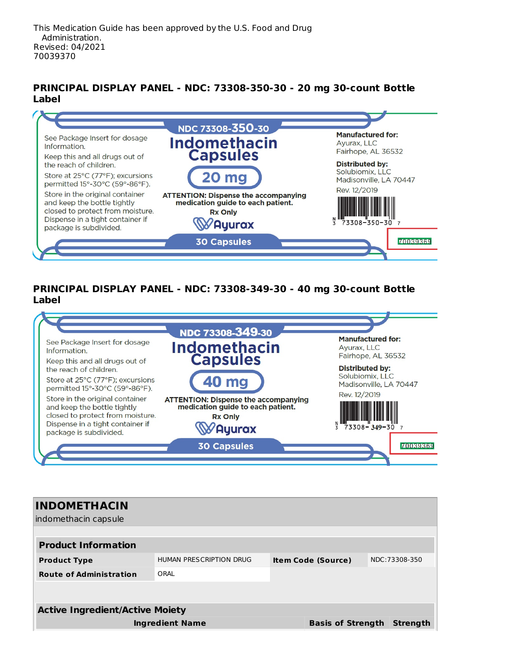#### NDC 73308-350-30 **Manufactured for:** See Package Insert for dosage **Indomethacin** Ayurax, LLC Information. Fairhope, AL 36532 **Capsules** Keep this and all drugs out of **Distributed by:** the reach of children. Solubiomix, LLC Store at 25°C (77°F); excursions 20 mg Madisonville, LA 70447 permitted 15°-30°C (59°-86°F). Rev. 12/2019 Store in the original container **ATTENTION: Dispense the accompanying** and keep the bottle tightly medication guide to each patient. closed to protect from moisture. **Rx Only** Dispense in a tight container if **Wayurax**  $350 - 307$ package is subdivided. 70089869 **30 Capsules**

### **PRINCIPAL DISPLAY PANEL - NDC: 73308-350-30 - 20 mg 30-count Bottle Label**

### **PRINCIPAL DISPLAY PANEL - NDC: 73308-349-30 - 40 mg 30-count Bottle Label**



| <b>INDOMETHACIN</b><br>indomethacin capsule |                         |                           |                 |
|---------------------------------------------|-------------------------|---------------------------|-----------------|
|                                             |                         |                           |                 |
| <b>Product Information</b>                  |                         |                           |                 |
| <b>Product Type</b>                         | HUMAN PRESCRIPTION DRUG | <b>Item Code (Source)</b> | NDC: 73308-350  |
| <b>Route of Administration</b>              | ORAL                    |                           |                 |
|                                             |                         |                           |                 |
|                                             |                         |                           |                 |
| <b>Active Ingredient/Active Moiety</b>      |                         |                           |                 |
|                                             | <b>Ingredient Name</b>  | <b>Basis of Strength</b>  | <b>Strength</b> |
|                                             |                         |                           |                 |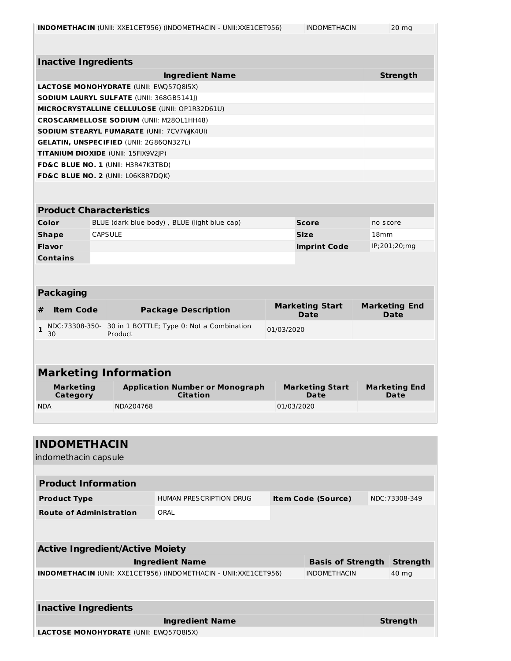|                        | <b>Inactive Ingredients</b>                                                                |  |                                                    |  |                                |                 |                                     |  |
|------------------------|--------------------------------------------------------------------------------------------|--|----------------------------------------------------|--|--------------------------------|-----------------|-------------------------------------|--|
| <b>Ingredient Name</b> |                                                                                            |  |                                                    |  |                                | <b>Strength</b> |                                     |  |
|                        |                                                                                            |  | LACTOSE MONOHYDRATE (UNII: EWQ57Q8I5X)             |  |                                |                 |                                     |  |
|                        |                                                                                            |  | SODIUM LAURYL SULFATE (UNII: 368GB5141J)           |  |                                |                 |                                     |  |
|                        |                                                                                            |  | MICROCRYSTALLINE CELLULOSE (UNII: OP1R32D61U)      |  |                                |                 |                                     |  |
|                        |                                                                                            |  | <b>CROSCARMELLOSE SODIUM (UNII: M280L1HH48)</b>    |  |                                |                 |                                     |  |
|                        |                                                                                            |  | <b>SODIUM STEARYL FUMARATE (UNII: 7CV7WK4UI)</b>   |  |                                |                 |                                     |  |
|                        |                                                                                            |  | <b>GELATIN, UNSPECIFIED (UNII: 2G86QN327L)</b>     |  |                                |                 |                                     |  |
|                        |                                                                                            |  | <b>TITANIUM DIOXIDE (UNII: 15FIX9V2JP)</b>         |  |                                |                 |                                     |  |
|                        |                                                                                            |  | FD&C BLUE NO. 1 (UNII: H3R47K3TBD)                 |  |                                |                 |                                     |  |
|                        |                                                                                            |  | FD&C BLUE NO. 2 (UNII: L06K8R7DQK)                 |  |                                |                 |                                     |  |
|                        |                                                                                            |  |                                                    |  |                                |                 |                                     |  |
|                        |                                                                                            |  |                                                    |  |                                |                 |                                     |  |
|                        | <b>Product Characteristics</b>                                                             |  |                                                    |  |                                |                 |                                     |  |
|                        | Color                                                                                      |  | BLUE (dark blue body), BLUE (light blue cap)       |  | <b>Score</b>                   | no score        |                                     |  |
|                        | <b>Shape</b>                                                                               |  | CAPSULE                                            |  | <b>Size</b>                    |                 | 18 <sub>mm</sub>                    |  |
|                        | Flavor                                                                                     |  |                                                    |  | <b>Imprint Code</b>            |                 | IP;201;20;mg                        |  |
|                        | <b>Contains</b>                                                                            |  |                                                    |  |                                |                 |                                     |  |
|                        |                                                                                            |  |                                                    |  |                                |                 |                                     |  |
|                        |                                                                                            |  |                                                    |  |                                |                 |                                     |  |
|                        | <b>Packaging</b>                                                                           |  |                                                    |  |                                |                 |                                     |  |
|                        |                                                                                            |  |                                                    |  | <b>Marketing Start</b>         |                 | <b>Marketing End</b>                |  |
| #                      | <b>Item Code</b>                                                                           |  | <b>Package Description</b>                         |  | <b>Date</b>                    |                 | <b>Date</b>                         |  |
| 1                      | 30 in 1 BOTTLE; Type 0: Not a Combination<br>NDC:73308-350-<br>01/03/2020<br>Product<br>30 |  |                                                    |  |                                |                 |                                     |  |
|                        |                                                                                            |  |                                                    |  |                                |                 |                                     |  |
|                        |                                                                                            |  |                                                    |  |                                |                 |                                     |  |
|                        |                                                                                            |  | <b>Marketing Information</b>                       |  |                                |                 |                                     |  |
|                        | <b>Marketing</b><br>Category                                                               |  | <b>Application Number or Monograph</b><br>Citation |  | <b>Marketing Start</b><br>Date |                 | <b>Marketing End</b><br><b>Date</b> |  |

| Marketing<br>Category | Application Number or Monograph<br><b>Citation</b> | <b>Marketing Start</b><br>Date | Marketing End<br><b>Date</b> |
|-----------------------|----------------------------------------------------|--------------------------------|------------------------------|
| <b>NDA</b>            | NDA204768                                          | 01/03/2020                     |                              |
|                       |                                                    |                                |                              |
|                       |                                                    |                                |                              |

| <b>INDOMETHACIN</b><br>indomethacin capsule                             |                         |                           |                 |
|-------------------------------------------------------------------------|-------------------------|---------------------------|-----------------|
|                                                                         |                         |                           |                 |
| <b>Product Information</b>                                              |                         |                           |                 |
| <b>Product Type</b>                                                     | HUMAN PRESCRIPTION DRUG | <b>Item Code (Source)</b> | NDC: 73308-349  |
| <b>Route of Administration</b>                                          | ORAL                    |                           |                 |
|                                                                         |                         |                           |                 |
| <b>Active Ingredient/Active Moiety</b>                                  |                         |                           |                 |
|                                                                         | <b>Ingredient Name</b>  | <b>Basis of Strength</b>  | <b>Strength</b> |
| <b>INDOMETHACIN</b> (UNII: XXE1CET956) (INDOMETHACIN - UNII:XXE1CET956) |                         | <b>INDOMETHACIN</b>       | 40 mg           |
|                                                                         |                         |                           |                 |
| <b>Inactive Ingredients</b>                                             |                         |                           |                 |
|                                                                         | <b>Ingredient Name</b>  |                           | <b>Strength</b> |
| <b>LACTOSE MONOHYDRATE (UNII: EWQ57Q8I5X)</b>                           |                         |                           |                 |